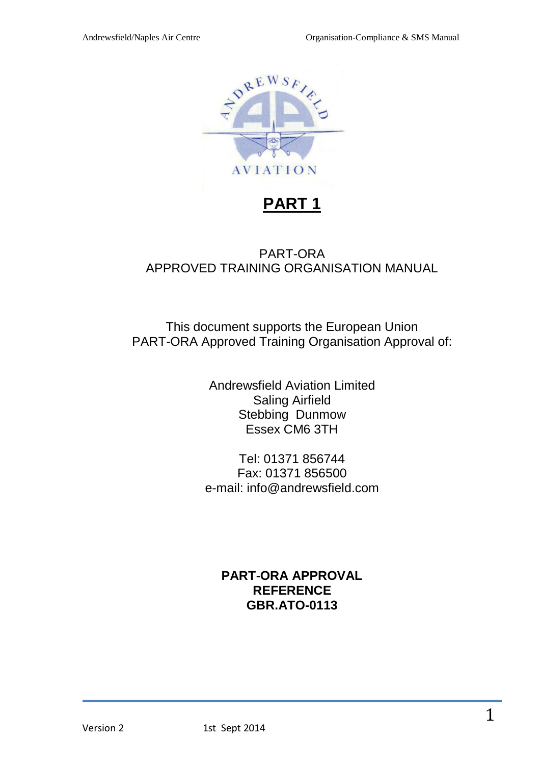

# PART-ORA APPROVED TRAINING ORGANISATION MANUAL

This document supports the European Union PART-ORA Approved Training Organisation Approval of:

> Andrewsfield Aviation Limited Saling Airfield Stebbing Dunmow Essex CM6 3TH

Tel: 01371 856744 Fax: 01371 856500 e-mail: info@andrewsfield.com

# **PART-ORA APPROVAL REFERENCE GBR.ATO-0113**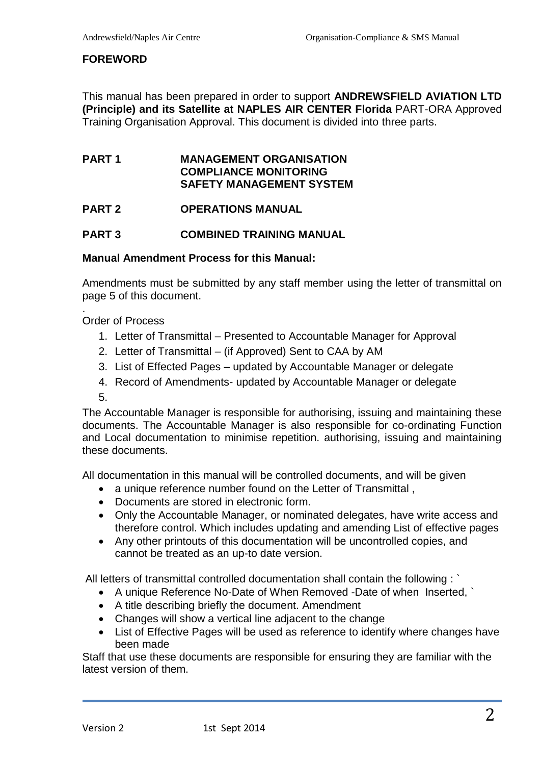#### **FOREWORD**

This manual has been prepared in order to support **ANDREWSFIELD AVIATION LTD (Principle) and its Satellite at NAPLES AIR CENTER Florida** PART-ORA Approved Training Organisation Approval. This document is divided into three parts.

#### **PART 1 MANAGEMENT ORGANISATION COMPLIANCE MONITORING SAFETY MANAGEMENT SYSTEM**

#### **PART 2 OPERATIONS MANUAL**

#### **PART 3 COMBINED TRAINING MANUAL**

#### **Manual Amendment Process for this Manual:**

Amendments must be submitted by any staff member using the letter of transmittal on page 5 of this document.

Order of Process

- 1. Letter of Transmittal Presented to Accountable Manager for Approval
- 2. Letter of Transmittal (if Approved) Sent to CAA by AM
- 3. List of Effected Pages updated by Accountable Manager or delegate
- 4. Record of Amendments- updated by Accountable Manager or delegate
- 5.

.

The Accountable Manager is responsible for authorising, issuing and maintaining these documents. The Accountable Manager is also responsible for co-ordinating Function and Local documentation to minimise repetition. authorising, issuing and maintaining these documents.

All documentation in this manual will be controlled documents, and will be given

- a unique reference number found on the Letter of Transmittal ,
- Documents are stored in electronic form.
- Only the Accountable Manager, or nominated delegates, have write access and therefore control. Which includes updating and amending List of effective pages
- Any other printouts of this documentation will be uncontrolled copies, and cannot be treated as an up-to date version.

All letters of transmittal controlled documentation shall contain the following : `

- A unique Reference No-Date of When Removed -Date of when Inserted, `
- A title describing briefly the document. Amendment
- Changes will show a vertical line adjacent to the change
- List of Effective Pages will be used as reference to identify where changes have been made

Staff that use these documents are responsible for ensuring they are familiar with the latest version of them.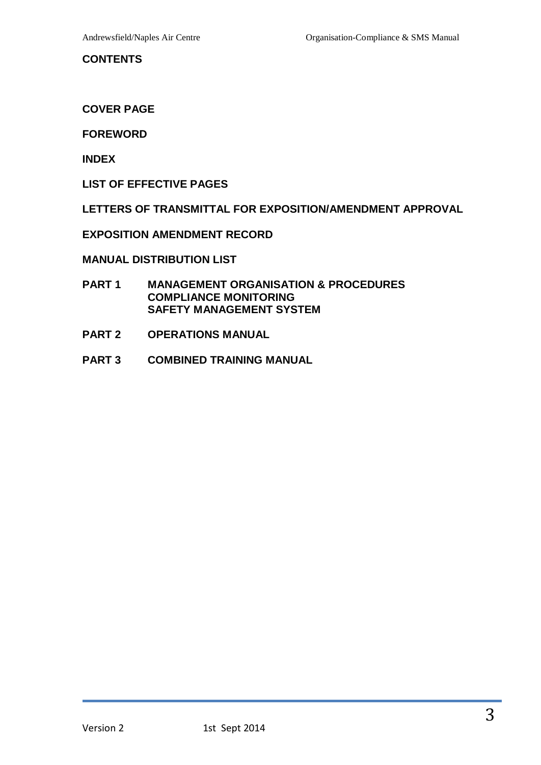#### <span id="page-2-0"></span>**CONTENTS**

**COVER PAGE**

#### **FOREWORD**

**INDEX** 

**LIST OF EFFECTIVE PAGES**

**LETTERS OF TRANSMITTAL FOR EXPOSITION/AMENDMENT APPROVAL**

**EXPOSITION AMENDMENT RECORD**

**MANUAL DISTRIBUTION LIST**

- **PART 1 MANAGEMENT ORGANISATION & PROCEDURES COMPLIANCE MONITORING SAFETY MANAGEMENT SYSTEM**
- **PART 2 OPERATIONS MANUAL**
- **PART 3 COMBINED TRAINING MANUAL**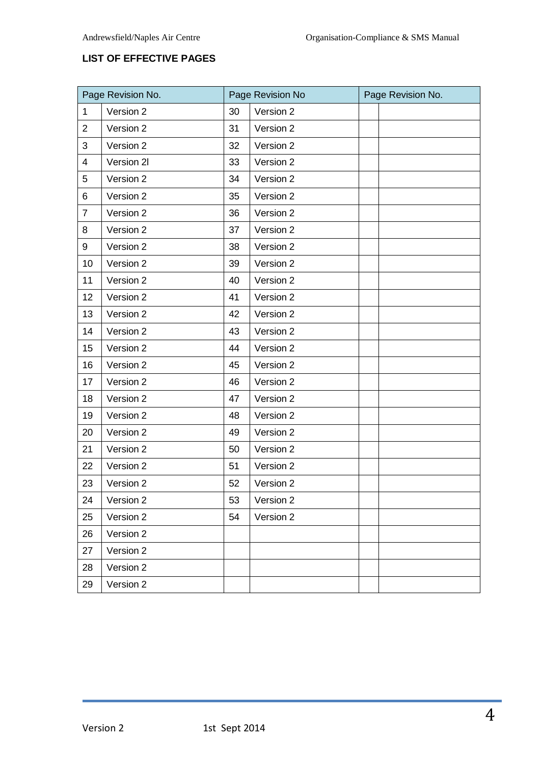# <span id="page-3-0"></span>**LIST OF EFFECTIVE PAGES**

| Page Revision No. |            | Page Revision No |           | Page Revision No. |  |
|-------------------|------------|------------------|-----------|-------------------|--|
| $\mathbf 1$       | Version 2  | 30               | Version 2 |                   |  |
| $\overline{2}$    | Version 2  | 31               | Version 2 |                   |  |
| 3                 | Version 2  | 32               | Version 2 |                   |  |
| $\overline{4}$    | Version 2I | 33               | Version 2 |                   |  |
| 5                 | Version 2  | 34               | Version 2 |                   |  |
| 6                 | Version 2  | 35               | Version 2 |                   |  |
| $\overline{7}$    | Version 2  | 36               | Version 2 |                   |  |
| 8                 | Version 2  | 37               | Version 2 |                   |  |
| 9                 | Version 2  | 38               | Version 2 |                   |  |
| 10                | Version 2  | 39               | Version 2 |                   |  |
| 11                | Version 2  | 40               | Version 2 |                   |  |
| 12                | Version 2  | 41               | Version 2 |                   |  |
| 13                | Version 2  | 42               | Version 2 |                   |  |
| 14                | Version 2  | 43               | Version 2 |                   |  |
| 15                | Version 2  | 44               | Version 2 |                   |  |
| 16                | Version 2  | 45               | Version 2 |                   |  |
| 17                | Version 2  | 46               | Version 2 |                   |  |
| 18                | Version 2  | 47               | Version 2 |                   |  |
| 19                | Version 2  | 48               | Version 2 |                   |  |
| 20                | Version 2  | 49               | Version 2 |                   |  |
| 21                | Version 2  | 50               | Version 2 |                   |  |
| 22                | Version 2  | 51               | Version 2 |                   |  |
| 23                | Version 2  | 52               | Version 2 |                   |  |
| 24                | Version 2  | 53               | Version 2 |                   |  |
| 25                | Version 2  | 54               | Version 2 |                   |  |
| 26                | Version 2  |                  |           |                   |  |
| 27                | Version 2  |                  |           |                   |  |
| 28                | Version 2  |                  |           |                   |  |
| 29                | Version 2  |                  |           |                   |  |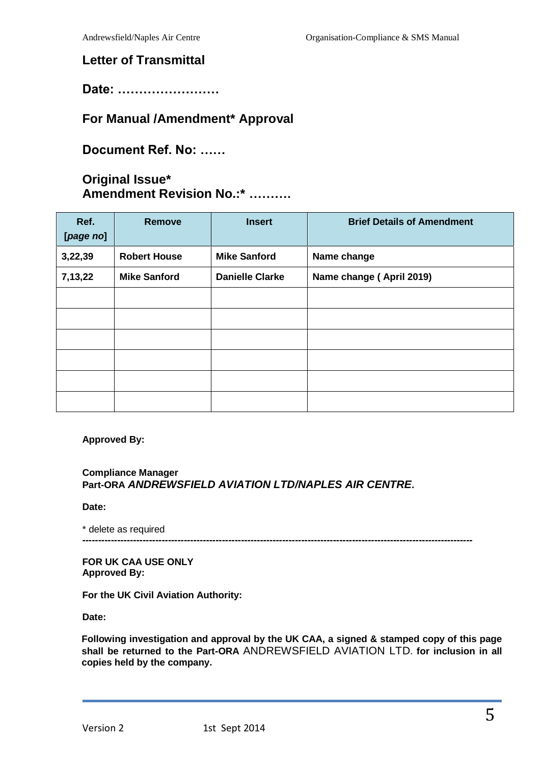# <span id="page-4-0"></span>**Letter of Transmittal**

**Date: ……………………**

# **For Manual /Amendment\* Approval**

**Document Ref. No: ……**

# **Original Issue\* Amendment Revision No.:\* ……….**

| Ref.<br>[page no] | <b>Remove</b>       | <b>Insert</b>          | <b>Brief Details of Amendment</b> |
|-------------------|---------------------|------------------------|-----------------------------------|
| 3,22,39           | <b>Robert House</b> | <b>Mike Sanford</b>    | Name change                       |
| 7,13,22           | <b>Mike Sanford</b> | <b>Danielle Clarke</b> | Name change (April 2019)          |
|                   |                     |                        |                                   |
|                   |                     |                        |                                   |
|                   |                     |                        |                                   |
|                   |                     |                        |                                   |
|                   |                     |                        |                                   |
|                   |                     |                        |                                   |

**Approved By:**

#### **Compliance Manager Part-ORA** *ANDREWSFIELD AVIATION LTD/NAPLES AIR CENTRE***.**

**Date:**

\* delete as required **---------------------------------------------------------------------------------------------------------------------------**

**FOR UK CAA USE ONLY Approved By:**

**For the UK Civil Aviation Authority:**

**Date:**

**Following investigation and approval by the UK CAA, a signed & stamped copy of this page shall be returned to the Part-ORA** ANDREWSFIELD AVIATION LTD. **for inclusion in all copies held by the company.**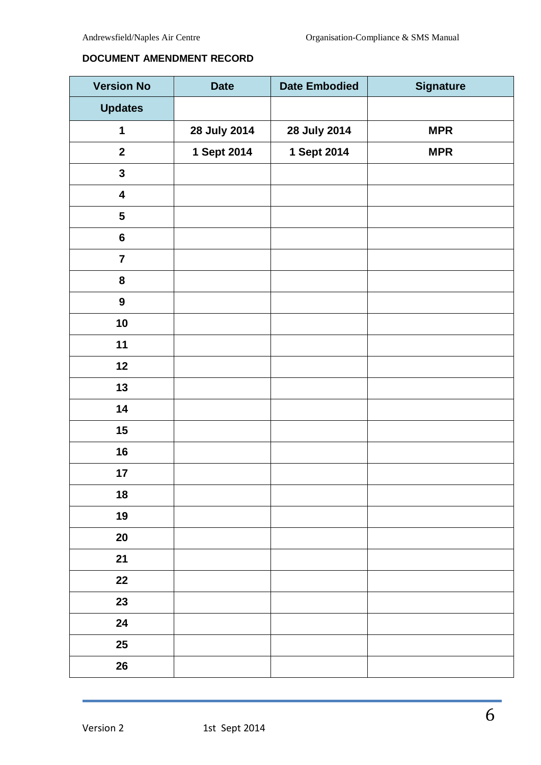#### <span id="page-5-0"></span>**DOCUMENT AMENDMENT RECORD**

| <b>Version No</b>       | <b>Date</b>  | <b>Date Embodied</b> | <b>Signature</b> |
|-------------------------|--------------|----------------------|------------------|
| <b>Updates</b>          |              |                      |                  |
| 1                       | 28 July 2014 | 28 July 2014         | <b>MPR</b>       |
| $\mathbf{2}$            | 1 Sept 2014  | 1 Sept 2014          | <b>MPR</b>       |
| $\mathbf{3}$            |              |                      |                  |
| $\overline{\mathbf{4}}$ |              |                      |                  |
| $\overline{\mathbf{5}}$ |              |                      |                  |
| $\bf 6$                 |              |                      |                  |
| $\overline{7}$          |              |                      |                  |
| ${\bf 8}$               |              |                      |                  |
| $\boldsymbol{9}$        |              |                      |                  |
| 10                      |              |                      |                  |
| 11                      |              |                      |                  |
| 12                      |              |                      |                  |
| 13                      |              |                      |                  |
| 14                      |              |                      |                  |
| 15                      |              |                      |                  |
| 16                      |              |                      |                  |
| 17                      |              |                      |                  |
| 18                      |              |                      |                  |
| 19                      |              |                      |                  |
| $20\,$                  |              |                      |                  |
| 21                      |              |                      |                  |
| 22                      |              |                      |                  |
| 23                      |              |                      |                  |
| 24                      |              |                      |                  |
| 25                      |              |                      |                  |
| 26                      |              |                      |                  |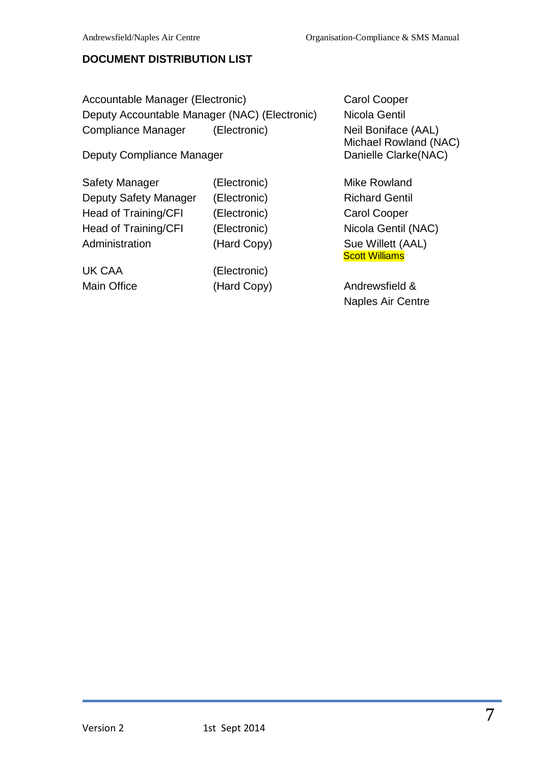# <span id="page-6-0"></span>**DOCUMENT DISTRIBUTION LIST**

Accountable Manager (Electronic) Carol Cooper Deputy Accountable Manager (NAC) (Electronic) Nicola Gentil Compliance Manager (Electronic) Neil Boniface (AAL)

Deputy Compliance Manager Deputy Compliance Manager Danielle Clarke(NAC)

Safety Manager (Electronic) Mike Rowland Deputy Safety Manager (Electronic) Richard Gentil Head of Training/CFI (Electronic) Carol Cooper Head of Training/CFI (Electronic) Nicola Gentil (NAC) Administration (Hard Copy) Sue Willett (AAL)

UK CAA (Electronic)

Michael Rowland (NAC)

**Scott Williams** 

Main Office (Hard Copy) Andrewsfield & Naples Air Centre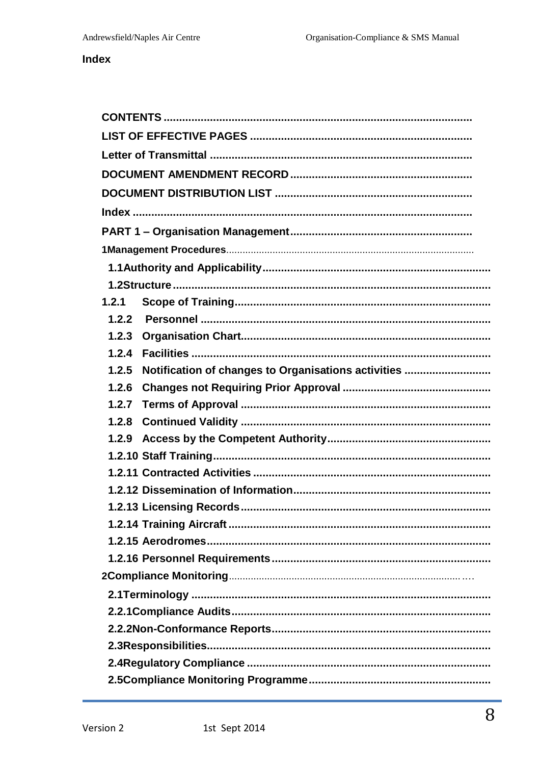# <span id="page-7-0"></span>**Index**

| 1.2.1                                                        |  |  |  |  |
|--------------------------------------------------------------|--|--|--|--|
| 1.2.2                                                        |  |  |  |  |
| 1.2.3                                                        |  |  |  |  |
| 1.2.4                                                        |  |  |  |  |
| Notification of changes to Organisations activities<br>1.2.5 |  |  |  |  |
| 1.2.6                                                        |  |  |  |  |
| 1.2.7                                                        |  |  |  |  |
| 1.2.8                                                        |  |  |  |  |
| 1.2.9                                                        |  |  |  |  |
|                                                              |  |  |  |  |
|                                                              |  |  |  |  |
|                                                              |  |  |  |  |
|                                                              |  |  |  |  |
|                                                              |  |  |  |  |
|                                                              |  |  |  |  |
|                                                              |  |  |  |  |
|                                                              |  |  |  |  |
|                                                              |  |  |  |  |
|                                                              |  |  |  |  |
|                                                              |  |  |  |  |
|                                                              |  |  |  |  |
|                                                              |  |  |  |  |
|                                                              |  |  |  |  |
|                                                              |  |  |  |  |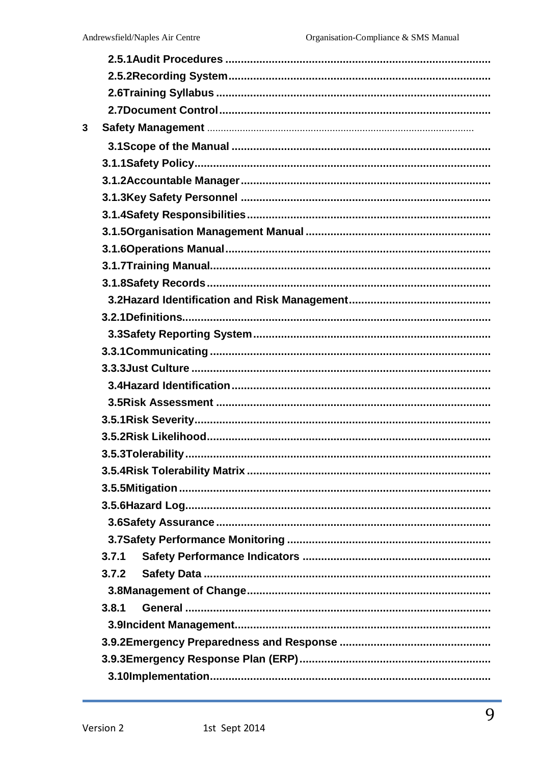| 3 |       |
|---|-------|
|   |       |
|   |       |
|   |       |
|   |       |
|   |       |
|   |       |
|   |       |
|   |       |
|   |       |
|   |       |
|   |       |
|   |       |
|   |       |
|   |       |
|   |       |
|   |       |
|   |       |
|   |       |
|   |       |
|   |       |
|   |       |
|   |       |
|   |       |
|   |       |
|   | 3.7.1 |
|   | 3.7.2 |
|   |       |
|   | 3.8.1 |
|   |       |
|   |       |
|   |       |
|   |       |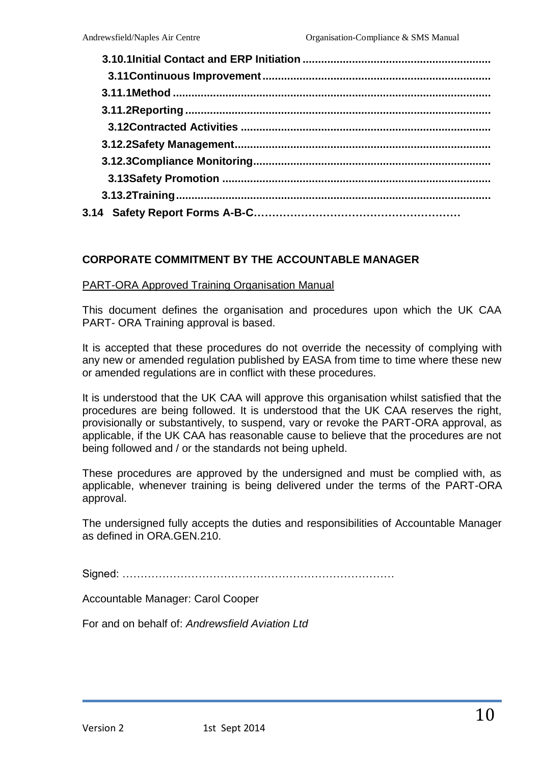# **CORPORATE COMMITMENT BY THE ACCOUNTABLE MANAGER**

#### PART-ORA Approved Training Organisation Manual

This document defines the organisation and procedures upon which the UK CAA PART- ORA Training approval is based.

It is accepted that these procedures do not override the necessity of complying with any new or amended regulation published by EASA from time to time where these new or amended regulations are in conflict with these procedures.

It is understood that the UK CAA will approve this organisation whilst satisfied that the procedures are being followed. It is understood that the UK CAA reserves the right, provisionally or substantively, to suspend, vary or revoke the PART-ORA approval, as applicable, if the UK CAA has reasonable cause to believe that the procedures are not being followed and / or the standards not being upheld.

These procedures are approved by the undersigned and must be complied with, as applicable, whenever training is being delivered under the terms of the PART-ORA approval.

The undersigned fully accepts the duties and responsibilities of Accountable Manager as defined in ORA.GEN.210.

Signed: …………………………………………………………………

Accountable Manager: Carol Cooper

For and on behalf of: *Andrewsfield Aviation Ltd*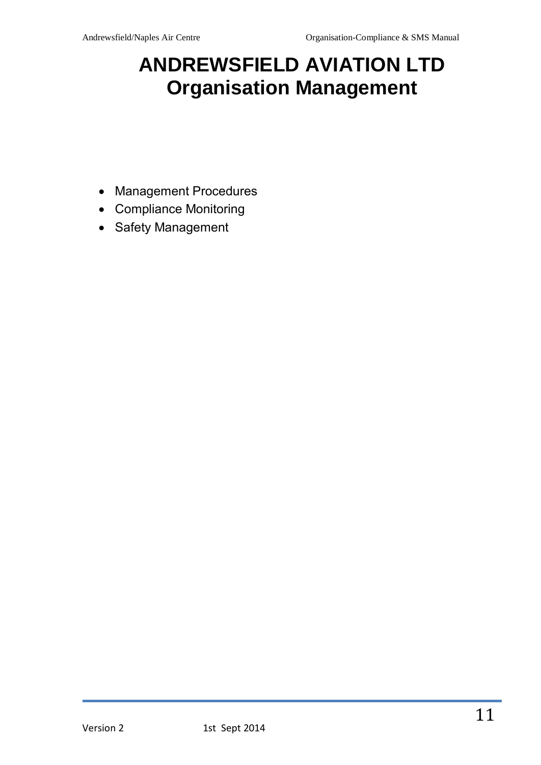# <span id="page-10-0"></span>**ANDREWSFIELD AVIATION LTD Organisation Management**

- Management Procedures
- Compliance Monitoring
- Safety Management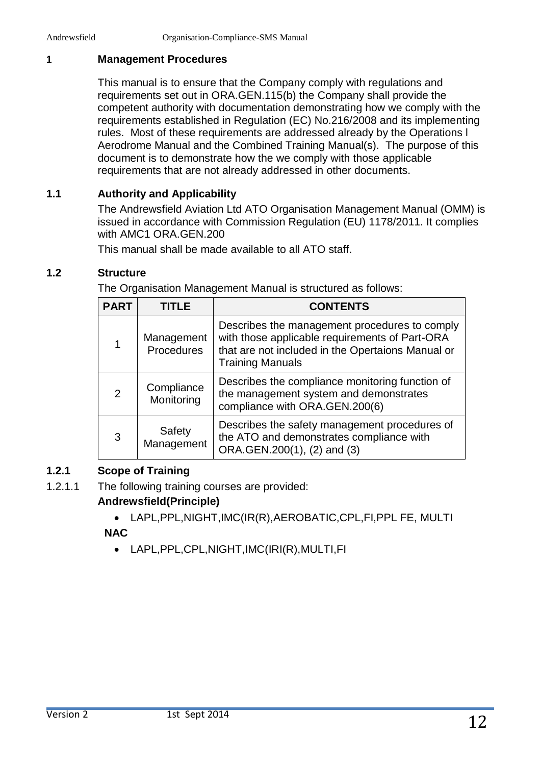# <span id="page-11-0"></span>**1 Management Procedures**

This manual is to ensure that the Company comply with regulations and requirements set out in ORA.GEN.115(b) the Company shall provide the competent authority with documentation demonstrating how we comply with the requirements established in Regulation (EC) No.216/2008 and its implementing rules. Most of these requirements are addressed already by the Operations l Aerodrome Manual and the Combined Training Manual(s). The purpose of this document is to demonstrate how the we comply with those applicable requirements that are not already addressed in other documents.

# <span id="page-11-1"></span>**1.1 Authority and Applicability**

The Andrewsfield Aviation Ltd ATO Organisation Management Manual (OMM) is issued in accordance with Commission Regulation (EU) 1178/2011. It complies with AMC1 ORA.GEN.200

This manual shall be made available to all ATO staff.

# <span id="page-11-2"></span>**1.2 Structure**

The Organisation Management Manual is structured as follows:

| <b>PART</b>    | <b>TITLE</b>                    | <b>CONTENTS</b>                                                                                                                                                                 |
|----------------|---------------------------------|---------------------------------------------------------------------------------------------------------------------------------------------------------------------------------|
| $\mathbf 1$    | Management<br><b>Procedures</b> | Describes the management procedures to comply<br>with those applicable requirements of Part-ORA<br>that are not included in the Opertaions Manual or<br><b>Training Manuals</b> |
| $\overline{2}$ | Compliance<br>Monitoring        | Describes the compliance monitoring function of<br>the management system and demonstrates<br>compliance with ORA.GEN.200(6)                                                     |
| 3              | Safety<br>Management            | Describes the safety management procedures of<br>the ATO and demonstrates compliance with<br>ORA.GEN.200(1), (2) and (3)                                                        |

# <span id="page-11-3"></span>**1.2.1 Scope of Training**

1.2.1.1 The following training courses are provided:

# **Andrewsfield(Principle)**

- LAPL,PPL,NIGHT,IMC(IR(R),AEROBATIC,CPL,FI,PPL FE, MULTI **NAC**
	- LAPL,PPL,CPL,NIGHT,IMC(IRI(R),MULTI,FI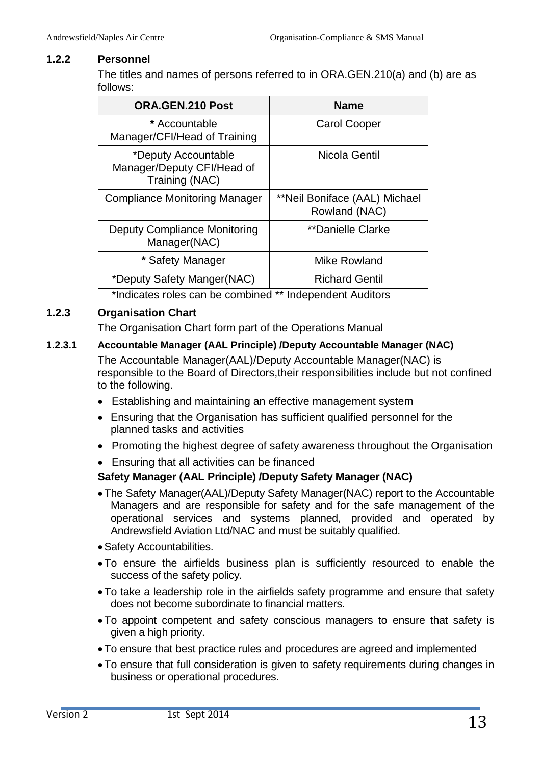#### <span id="page-12-0"></span>**1.2.2 Personnel**

The titles and names of persons referred to in ORA.GEN.210(a) and (b) are as follows:

| ORA.GEN.210 Post                                                    | <b>Name</b>                                    |
|---------------------------------------------------------------------|------------------------------------------------|
| * Accountable<br>Manager/CFI/Head of Training                       | <b>Carol Cooper</b>                            |
| *Deputy Accountable<br>Manager/Deputy CFI/Head of<br>Training (NAC) | Nicola Gentil                                  |
| <b>Compliance Monitoring Manager</b>                                | **Neil Boniface (AAL) Michael<br>Rowland (NAC) |
| <b>Deputy Compliance Monitoring</b><br>Manager(NAC)                 | **Danielle Clarke                              |
| * Safety Manager                                                    | Mike Rowland                                   |
| *Deputy Safety Manger(NAC)                                          | <b>Richard Gentil</b>                          |

\*Indicates roles can be combined \*\* Independent Auditors

#### <span id="page-12-1"></span>**1.2.3 Organisation Chart**

The Organisation Chart form part of the Operations Manual

# **1.2.3.1 Accountable Manager (AAL Principle) /Deputy Accountable Manager (NAC)**

The Accountable Manager(AAL)/Deputy Accountable Manager(NAC) is responsible to the Board of Directors,their responsibilities include but not confined to the following.

- Establishing and maintaining an effective management system
- Ensuring that the Organisation has sufficient qualified personnel for the planned tasks and activities
- Promoting the highest degree of safety awareness throughout the Organisation
- Ensuring that all activities can be financed

# **Safety Manager (AAL Principle) /Deputy Safety Manager (NAC)**

- The Safety Manager(AAL)/Deputy Safety Manager(NAC) report to the Accountable Managers and are responsible for safety and for the safe management of the operational services and systems planned, provided and operated by Andrewsfield Aviation Ltd/NAC and must be suitably qualified.
- Safety Accountabilities.
- To ensure the airfields business plan is sufficiently resourced to enable the success of the safety policy.
- To take a leadership role in the airfields safety programme and ensure that safety does not become subordinate to financial matters.
- To appoint competent and safety conscious managers to ensure that safety is given a high priority.
- To ensure that best practice rules and procedures are agreed and implemented
- To ensure that full consideration is given to safety requirements during changes in business or operational procedures.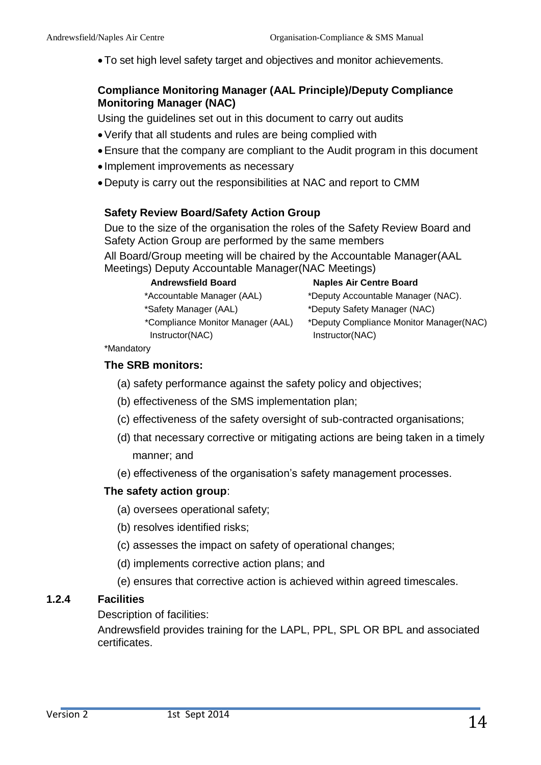To set high level safety target and objectives and monitor achievements.

#### **Compliance Monitoring Manager (AAL Principle)/Deputy Compliance Monitoring Manager (NAC)**

Using the guidelines set out in this document to carry out audits

- Verify that all students and rules are being complied with
- Ensure that the company are compliant to the Audit program in this document
- Implement improvements as necessary
- Deputy is carry out the responsibilities at NAC and report to CMM

#### **Safety Review Board/Safety Action Group**

Due to the size of the organisation the roles of the Safety Review Board and Safety Action Group are performed by the same members All Board/Group meeting will be chaired by the Accountable Manager(AAL Meetings) Deputy Accountable Manager(NAC Meetings)

| <b>Andrewsfield Board</b>         | <b>Naples Air Centre Board</b>          |
|-----------------------------------|-----------------------------------------|
| *Accountable Manager (AAL)        | *Deputy Accountable Manager (NAC).      |
| *Safety Manager (AAL)             | *Deputy Safety Manager (NAC)            |
| *Compliance Monitor Manager (AAL) | *Deputy Compliance Monitor Manager(NAC) |
| Instructor(NAC)                   | Instructor(NAC)                         |

\*Mandatory

#### <span id="page-13-0"></span>**The SRB monitors:**

- (a) safety performance against the safety policy and objectives;
- (b) effectiveness of the SMS implementation plan;
- (c) effectiveness of the safety oversight of sub-contracted organisations;
- (d) that necessary corrective or mitigating actions are being taken in a timely manner; and
- (e) effectiveness of the organisation's safety management processes.

#### **The safety action group**:

- (a) oversees operational safety;
- (b) resolves identified risks;
- (c) assesses the impact on safety of operational changes;
- (d) implements corrective action plans; and
- (e) ensures that corrective action is achieved within agreed timescales.

#### **1.2.4 Facilities**

Description of facilities:

Andrewsfield provides training for the LAPL, PPL, SPL OR BPL and associated certificates.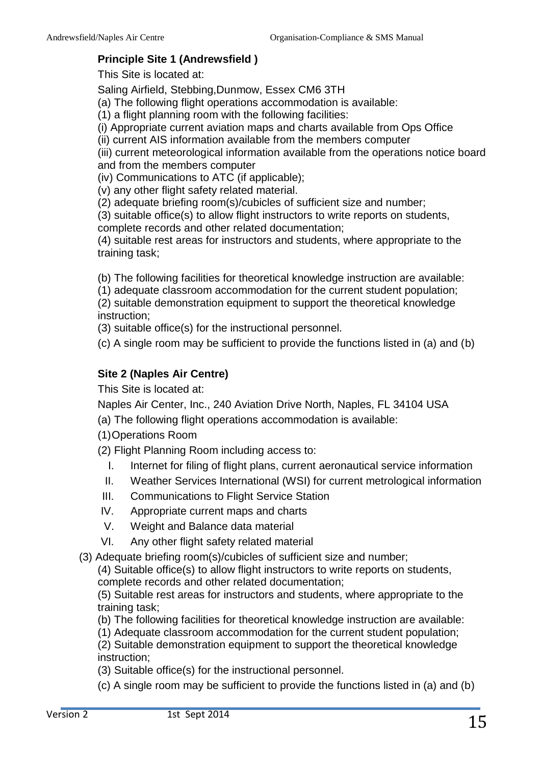# **Principle Site 1 (Andrewsfield )**

This Site is located at:

Saling Airfield, Stebbing,Dunmow, Essex CM6 3TH

(a) The following flight operations accommodation is available:

(1) a flight planning room with the following facilities:

(i) Appropriate current aviation maps and charts available from Ops Office

(ii) current AIS information available from the members computer

(iii) current meteorological information available from the operations notice board and from the members computer

(iv) Communications to ATC (if applicable);

(v) any other flight safety related material.

(2) adequate briefing room(s)/cubicles of sufficient size and number;

(3) suitable office(s) to allow flight instructors to write reports on students, complete records and other related documentation;

(4) suitable rest areas for instructors and students, where appropriate to the training task;

(b) The following facilities for theoretical knowledge instruction are available:

(1) adequate classroom accommodation for the current student population;

(2) suitable demonstration equipment to support the theoretical knowledge instruction;

(3) suitable office(s) for the instructional personnel.

(c) A single room may be sufficient to provide the functions listed in (a) and (b)

# **Site 2 (Naples Air Centre)**

This Site is located at:

Naples Air Center, Inc., 240 Aviation Drive North, Naples, FL 34104 USA

(a) The following flight operations accommodation is available:

(1)Operations Room

(2) Flight Planning Room including access to:

- I. Internet for filing of flight plans, current aeronautical service information
- II. Weather Services International (WSI) for current metrological information
- III. Communications to Flight Service Station
- IV. Appropriate current maps and charts
- V. Weight and Balance data material
- VI. Any other flight safety related material

(3) Adequate briefing room(s)/cubicles of sufficient size and number;

(4) Suitable office(s) to allow flight instructors to write reports on students, complete records and other related documentation;

(5) Suitable rest areas for instructors and students, where appropriate to the training task;

(b) The following facilities for theoretical knowledge instruction are available:

(1) Adequate classroom accommodation for the current student population;

(2) Suitable demonstration equipment to support the theoretical knowledge instruction;

(3) Suitable office(s) for the instructional personnel.

(c) A single room may be sufficient to provide the functions listed in (a) and (b)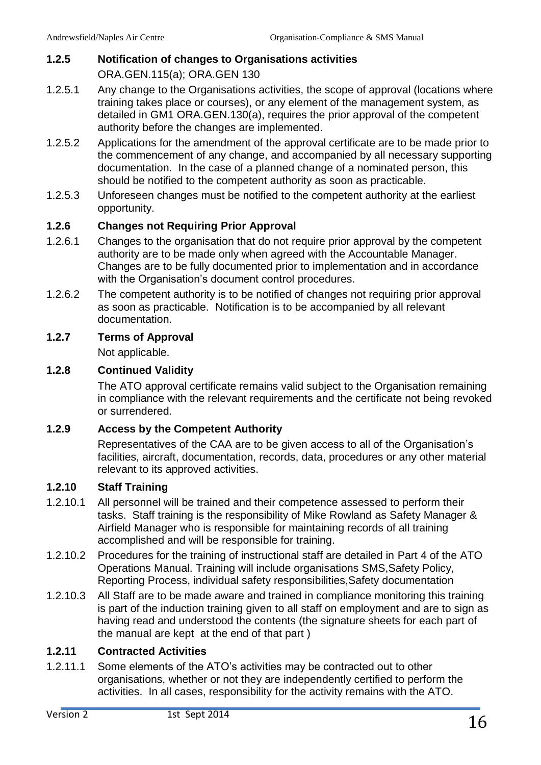# <span id="page-15-0"></span>**1.2.5 Notification of changes to Organisations activities**

ORA.GEN.115(a); ORA.GEN 130

- 1.2.5.1 Any change to the Organisations activities, the scope of approval (locations where training takes place or courses), or any element of the management system, as detailed in GM1 ORA.GEN.130(a), requires the prior approval of the competent authority before the changes are implemented.
- 1.2.5.2 Applications for the amendment of the approval certificate are to be made prior to the commencement of any change, and accompanied by all necessary supporting documentation. In the case of a planned change of a nominated person, this should be notified to the competent authority as soon as practicable.
- 1.2.5.3 Unforeseen changes must be notified to the competent authority at the earliest opportunity.

#### <span id="page-15-1"></span>**1.2.6 Changes not Requiring Prior Approval**

- 1.2.6.1 Changes to the organisation that do not require prior approval by the competent authority are to be made only when agreed with the Accountable Manager. Changes are to be fully documented prior to implementation and in accordance with the Organisation's document control procedures.
- 1.2.6.2 The competent authority is to be notified of changes not requiring prior approval as soon as practicable. Notification is to be accompanied by all relevant documentation.

#### <span id="page-15-2"></span>**1.2.7 Terms of Approval**

Not applicable.

#### <span id="page-15-3"></span>**1.2.8 Continued Validity**

The ATO approval certificate remains valid subject to the Organisation remaining in compliance with the relevant requirements and the certificate not being revoked or surrendered.

#### <span id="page-15-4"></span>**1.2.9 Access by the Competent Authority**

Representatives of the CAA are to be given access to all of the Organisation's facilities, aircraft, documentation, records, data, procedures or any other material relevant to its approved activities.

#### <span id="page-15-5"></span>**1.2.10 Staff Training**

- 1.2.10.1 All personnel will be trained and their competence assessed to perform their tasks. Staff training is the responsibility of Mike Rowland as Safety Manager & Airfield Manager who is responsible for maintaining records of all training accomplished and will be responsible for training.
- 1.2.10.2 Procedures for the training of instructional staff are detailed in Part 4 of the ATO Operations Manual. Training will include organisations SMS,Safety Policy, Reporting Process, individual safety responsibilities,Safety documentation
- 1.2.10.3 All Staff are to be made aware and trained in compliance monitoring this training is part of the induction training given to all staff on employment and are to sign as having read and understood the contents (the signature sheets for each part of the manual are kept at the end of that part )

#### <span id="page-15-6"></span>**1.2.11 Contracted Activities**

1.2.11.1 Some elements of the ATO's activities may be contracted out to other organisations, whether or not they are independently certified to perform the activities. In all cases, responsibility for the activity remains with the ATO.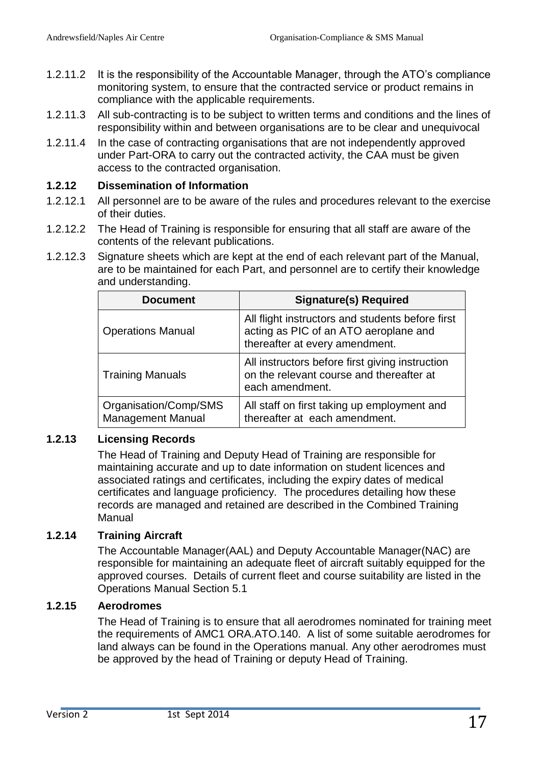- 1.2.11.2 It is the responsibility of the Accountable Manager, through the ATO's compliance monitoring system, to ensure that the contracted service or product remains in compliance with the applicable requirements.
- 1.2.11.3 All sub-contracting is to be subject to written terms and conditions and the lines of responsibility within and between organisations are to be clear and unequivocal
- 1.2.11.4 In the case of contracting organisations that are not independently approved under Part-ORA to carry out the contracted activity, the CAA must be given access to the contracted organisation.

#### <span id="page-16-0"></span>**1.2.12 Dissemination of Information**

- 1.2.12.1 All personnel are to be aware of the rules and procedures relevant to the exercise of their duties.
- 1.2.12.2 The Head of Training is responsible for ensuring that all staff are aware of the contents of the relevant publications.
- 1.2.12.3 Signature sheets which are kept at the end of each relevant part of the Manual, are to be maintained for each Part, and personnel are to certify their knowledge and understanding.

| <b>Document</b>                                   | <b>Signature(s) Required</b>                                                                                                |
|---------------------------------------------------|-----------------------------------------------------------------------------------------------------------------------------|
| <b>Operations Manual</b>                          | All flight instructors and students before first<br>acting as PIC of an ATO aeroplane and<br>thereafter at every amendment. |
| <b>Training Manuals</b>                           | All instructors before first giving instruction<br>on the relevant course and thereafter at<br>each amendment.              |
| Organisation/Comp/SMS<br><b>Management Manual</b> | All staff on first taking up employment and<br>thereafter at each amendment.                                                |

# <span id="page-16-1"></span>**1.2.13 Licensing Records**

The Head of Training and Deputy Head of Training are responsible for maintaining accurate and up to date information on student licences and associated ratings and certificates, including the expiry dates of medical certificates and language proficiency. The procedures detailing how these records are managed and retained are described in the Combined Training Manual

#### <span id="page-16-2"></span>**1.2.14 Training Aircraft**

The Accountable Manager(AAL) and Deputy Accountable Manager(NAC) are responsible for maintaining an adequate fleet of aircraft suitably equipped for the approved courses. Details of current fleet and course suitability are listed in the Operations Manual Section 5.1

#### <span id="page-16-3"></span>**1.2.15 Aerodromes**

The Head of Training is to ensure that all aerodromes nominated for training meet the requirements of AMC1 ORA.ATO.140. A list of some suitable aerodromes for land always can be found in the Operations manual. Any other aerodromes must be approved by the head of Training or deputy Head of Training.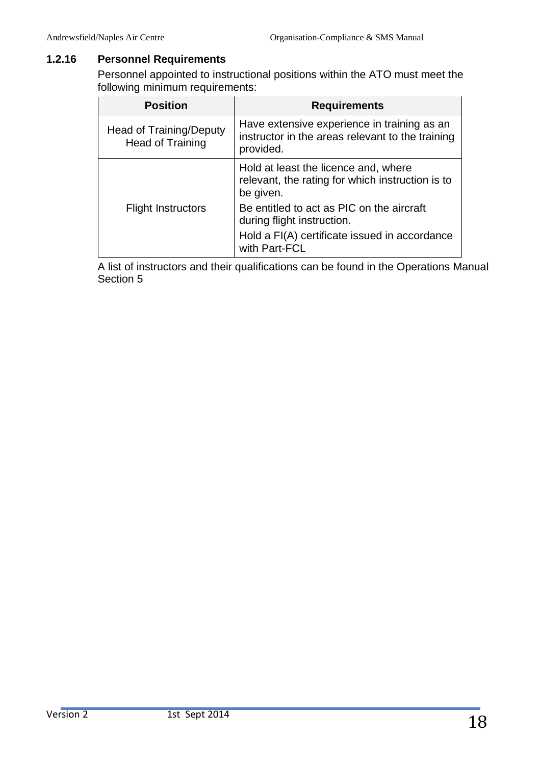# <span id="page-17-0"></span>**1.2.16 Personnel Requirements**

Personnel appointed to instructional positions within the ATO must meet the following minimum requirements:

| <b>Position</b>                             | <b>Requirements</b>                                                                                          |  |
|---------------------------------------------|--------------------------------------------------------------------------------------------------------------|--|
| Head of Training/Deputy<br>Head of Training | Have extensive experience in training as an<br>instructor in the areas relevant to the training<br>provided. |  |
|                                             | Hold at least the licence and, where<br>relevant, the rating for which instruction is to<br>be given.        |  |
| <b>Flight Instructors</b>                   | Be entitled to act as PIC on the aircraft<br>during flight instruction.                                      |  |
|                                             | Hold a FI(A) certificate issued in accordance<br>with Part-FCL                                               |  |

<span id="page-17-1"></span>A list of instructors and their qualifications can be found in the Operations Manual Section 5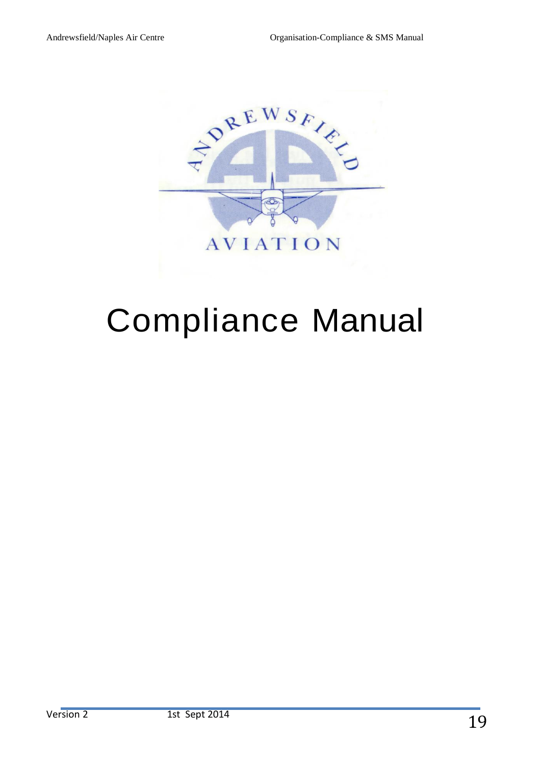

# Compliance Manual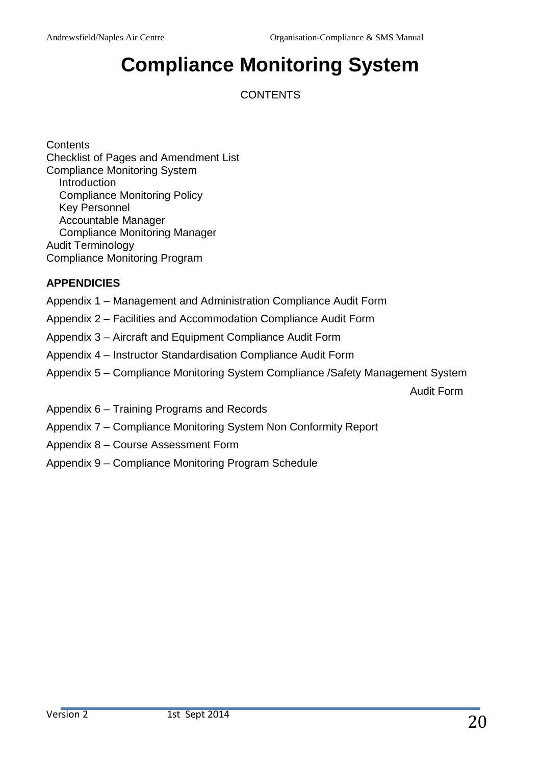# **Compliance Monitoring System**

**CONTENTS** 

**Contents** Checklist of Pages and Amendment List Compliance Monitoring System Introduction Compliance Monitoring Policy Key Personnel Accountable Manager Compliance Monitoring Manager Audit Terminology Compliance Monitoring Program

# **APPENDICIES**

- Appendix 1 Management and Administration Compliance Audit Form
- Appendix 2 Facilities and Accommodation Compliance Audit Form
- Appendix 3 Aircraft and Equipment Compliance Audit Form
- Appendix 4 Instructor Standardisation Compliance Audit Form
- Appendix 5 Compliance Monitoring System Compliance /Safety Management System

Audit Form

- Appendix  $6 -$  Training Programs and Records
- Appendix 7 Compliance Monitoring System Non Conformity Report
- Appendix 8 Course Assessment Form
- Appendix 9 Compliance Monitoring Program Schedule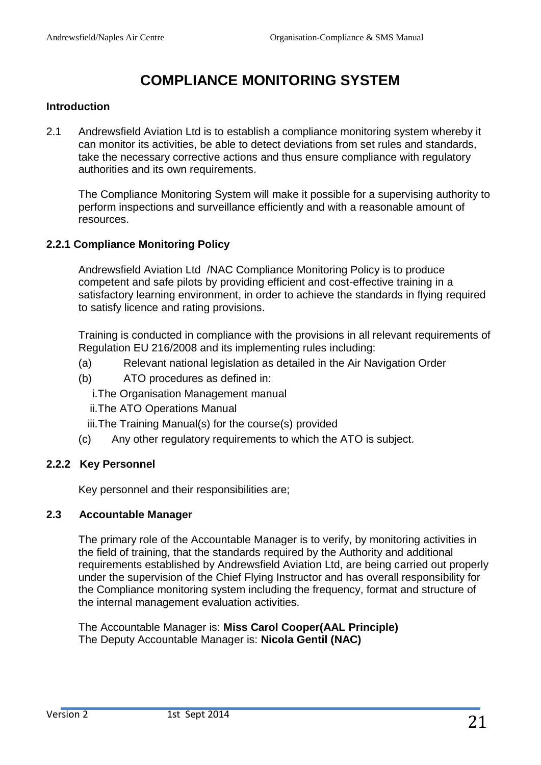# **COMPLIANCE MONITORING SYSTEM**

#### **Introduction**

2.1 Andrewsfield Aviation Ltd is to establish a compliance monitoring system whereby it can monitor its activities, be able to detect deviations from set rules and standards, take the necessary corrective actions and thus ensure compliance with regulatory authorities and its own requirements.

The Compliance Monitoring System will make it possible for a supervising authority to perform inspections and surveillance efficiently and with a reasonable amount of resources.

#### **2.2.1 Compliance Monitoring Policy**

Andrewsfield Aviation Ltd /NAC Compliance Monitoring Policy is to produce competent and safe pilots by providing efficient and cost-effective training in a satisfactory learning environment, in order to achieve the standards in flying required to satisfy licence and rating provisions.

Training is conducted in compliance with the provisions in all relevant requirements of Regulation EU 216/2008 and its implementing rules including:

- (a) Relevant national legislation as detailed in the Air Navigation Order
- (b) ATO procedures as defined in:

i.The Organisation Management manual

ii.The ATO Operations Manual

iii.The Training Manual(s) for the course(s) provided

(c) Any other regulatory requirements to which the ATO is subject.

# **2.2.2 Key Personnel**

Key personnel and their responsibilities are;

#### **2.3 Accountable Manager**

The primary role of the Accountable Manager is to verify, by monitoring activities in the field of training, that the standards required by the Authority and additional requirements established by Andrewsfield Aviation Ltd, are being carried out properly under the supervision of the Chief Flying Instructor and has overall responsibility for the Compliance monitoring system including the frequency, format and structure of the internal management evaluation activities.

The Accountable Manager is: **Miss Carol Cooper(AAL Principle)** The Deputy Accountable Manager is: **Nicola Gentil (NAC)**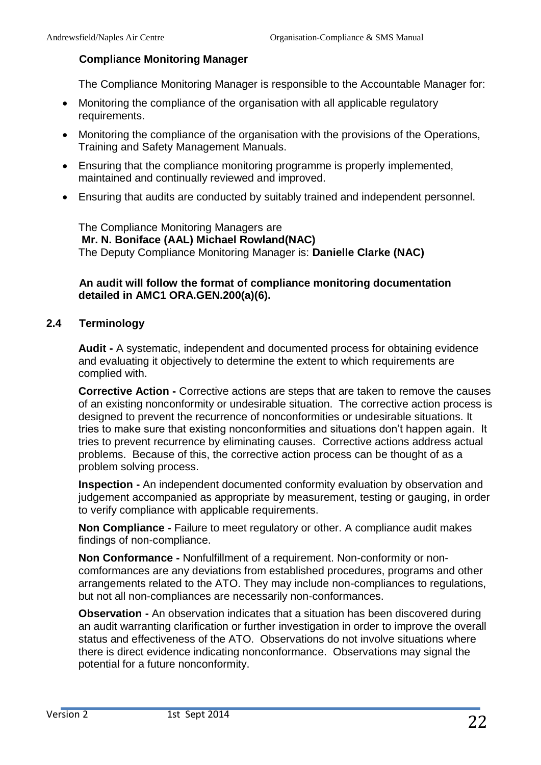#### **Compliance Monitoring Manager**

The Compliance Monitoring Manager is responsible to the Accountable Manager for:

- Monitoring the compliance of the organisation with all applicable regulatory requirements.
- Monitoring the compliance of the organisation with the provisions of the Operations, Training and Safety Management Manuals.
- Ensuring that the compliance monitoring programme is properly implemented, maintained and continually reviewed and improved.
- Ensuring that audits are conducted by suitably trained and independent personnel.

The Compliance Monitoring Managers are **Mr. N. Boniface (AAL) Michael Rowland(NAC)** The Deputy Compliance Monitoring Manager is: **Danielle Clarke (NAC)**

#### **An audit will follow the format of compliance monitoring documentation detailed in AMC1 ORA.GEN.200(a)(6).**

#### **2.4 Terminology**

**Audit -** A systematic, independent and documented process for obtaining evidence and evaluating it objectively to determine the extent to which requirements are complied with.

**Corrective Action -** Corrective actions are steps that are taken to remove the causes of an existing nonconformity or undesirable situation. The corrective action process is designed to prevent the recurrence of nonconformities or undesirable situations. It tries to make sure that existing nonconformities and situations don't happen again. It tries to prevent recurrence by eliminating causes. Corrective actions address actual problems. Because of this, the corrective action process can be thought of as a problem solving process.

**Inspection -** An independent documented conformity evaluation by observation and judgement accompanied as appropriate by measurement, testing or gauging, in order to verify compliance with applicable requirements.

**Non Compliance -** Failure to meet regulatory or other. A compliance audit makes findings of non-compliance.

**Non Conformance -** Nonfulfillment of a requirement. Non-conformity or noncomformances are any deviations from established procedures, programs and other arrangements related to the ATO. They may include non-compliances to regulations, but not all non-compliances are necessarily non-conformances.

**Observation -** An observation indicates that a situation has been discovered during an audit warranting clarification or further investigation in order to improve the overall status and effectiveness of the ATO. Observations do not involve situations where there is direct evidence indicating nonconformance. Observations may signal the potential for a future nonconformity.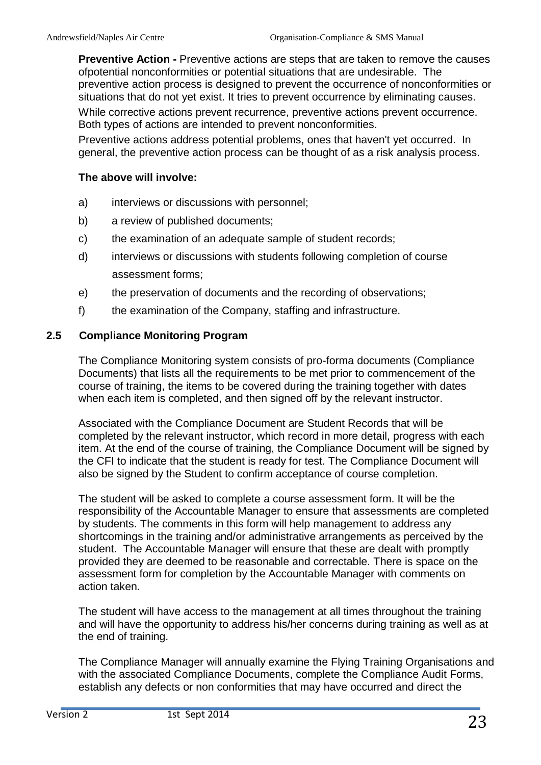**Preventive Action -** Preventive actions are steps that are taken to remove the causes ofpotential nonconformities or potential situations that are undesirable. The preventive action process is designed to prevent the occurrence of nonconformities or situations that do not yet exist. It tries to prevent occurrence by eliminating causes. While corrective actions prevent recurrence, preventive actions prevent occurrence. Both types of actions are intended to prevent nonconformities.

Preventive actions address potential problems, ones that haven't yet occurred. In general, the preventive action process can be thought of as a risk analysis process.

#### **The above will involve:**

- a) interviews or discussions with personnel;
- b) a review of published documents;
- c) the examination of an adequate sample of student records;
- d) interviews or discussions with students following completion of course assessment forms;
- e) the preservation of documents and the recording of observations;
- f) the examination of the Company, staffing and infrastructure.

#### **2.5 Compliance Monitoring Program**

The Compliance Monitoring system consists of pro-forma documents (Compliance Documents) that lists all the requirements to be met prior to commencement of the course of training, the items to be covered during the training together with dates when each item is completed, and then signed off by the relevant instructor.

Associated with the Compliance Document are Student Records that will be completed by the relevant instructor, which record in more detail, progress with each item. At the end of the course of training, the Compliance Document will be signed by the CFI to indicate that the student is ready for test. The Compliance Document will also be signed by the Student to confirm acceptance of course completion.

The student will be asked to complete a course assessment form. It will be the responsibility of the Accountable Manager to ensure that assessments are completed by students. The comments in this form will help management to address any shortcomings in the training and/or administrative arrangements as perceived by the student. The Accountable Manager will ensure that these are dealt with promptly provided they are deemed to be reasonable and correctable. There is space on the assessment form for completion by the Accountable Manager with comments on action taken.

The student will have access to the management at all times throughout the training and will have the opportunity to address his/her concerns during training as well as at the end of training.

The Compliance Manager will annually examine the Flying Training Organisations and with the associated Compliance Documents, complete the Compliance Audit Forms, establish any defects or non conformities that may have occurred and direct the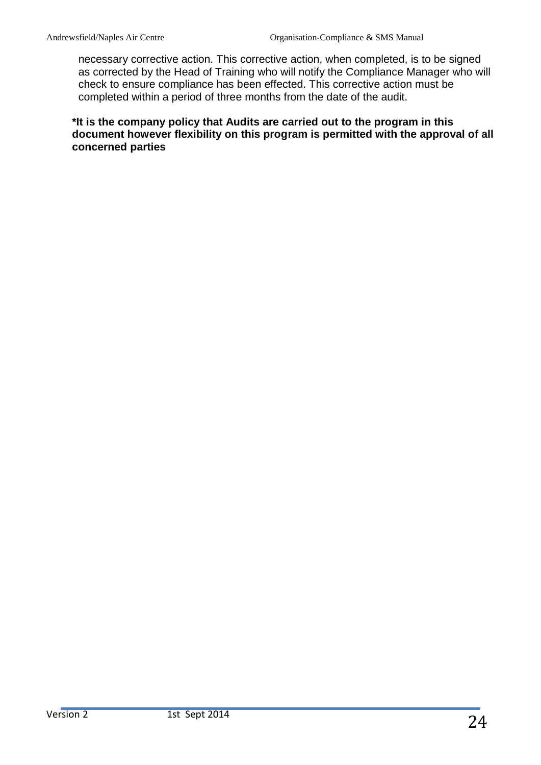necessary corrective action. This corrective action, when completed, is to be signed as corrected by the Head of Training who will notify the Compliance Manager who will check to ensure compliance has been effected. This corrective action must be completed within a period of three months from the date of the audit.

**\*It is the company policy that Audits are carried out to the program in this document however flexibility on this program is permitted with the approval of all concerned parties**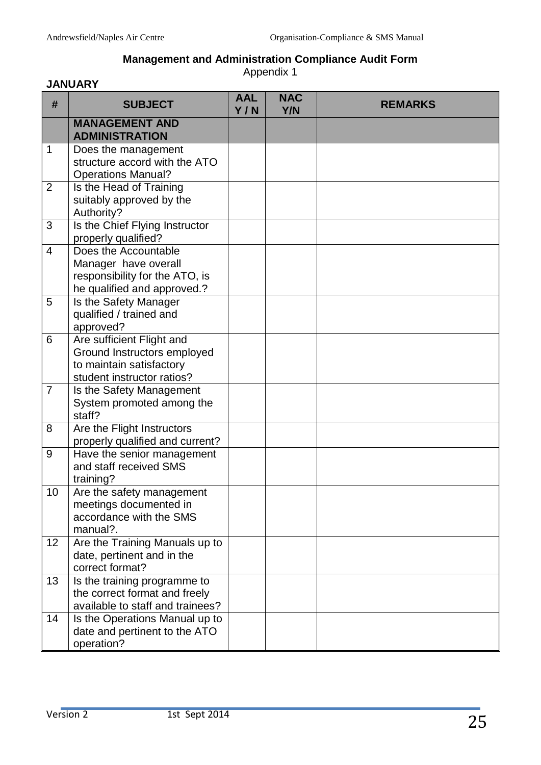# **Management and Administration Compliance Audit Form**

Appendix 1

| <b>JANUARY</b> |                                                                                                                    |                   |                   |                |  |
|----------------|--------------------------------------------------------------------------------------------------------------------|-------------------|-------------------|----------------|--|
| #              | <b>SUBJECT</b>                                                                                                     | <b>AAL</b><br>Y/N | <b>NAC</b><br>Y/N | <b>REMARKS</b> |  |
|                | <b>MANAGEMENT AND</b><br><b>ADMINISTRATION</b>                                                                     |                   |                   |                |  |
| 1              | Does the management<br>structure accord with the ATO<br><b>Operations Manual?</b>                                  |                   |                   |                |  |
| $\overline{2}$ | Is the Head of Training<br>suitably approved by the<br>Authority?                                                  |                   |                   |                |  |
| 3              | Is the Chief Flying Instructor<br>properly qualified?                                                              |                   |                   |                |  |
| 4              | Does the Accountable<br>Manager have overall<br>responsibility for the ATO, is<br>he qualified and approved.?      |                   |                   |                |  |
| 5              | Is the Safety Manager<br>qualified / trained and<br>approved?                                                      |                   |                   |                |  |
| 6              | Are sufficient Flight and<br>Ground Instructors employed<br>to maintain satisfactory<br>student instructor ratios? |                   |                   |                |  |
| $\overline{7}$ | Is the Safety Management<br>System promoted among the<br>staff?                                                    |                   |                   |                |  |
| 8              | Are the Flight Instructors<br>properly qualified and current?                                                      |                   |                   |                |  |
| 9              | Have the senior management<br>and staff received SMS<br>training?                                                  |                   |                   |                |  |
| 10             | Are the safety management<br>meetings documented in<br>accordance with the SMS<br>manual?.                         |                   |                   |                |  |
| 12             | Are the Training Manuals up to<br>date, pertinent and in the<br>correct format?                                    |                   |                   |                |  |
| 13             | Is the training programme to<br>the correct format and freely<br>available to staff and trainees?                  |                   |                   |                |  |
| 14             | Is the Operations Manual up to<br>date and pertinent to the ATO<br>operation?                                      |                   |                   |                |  |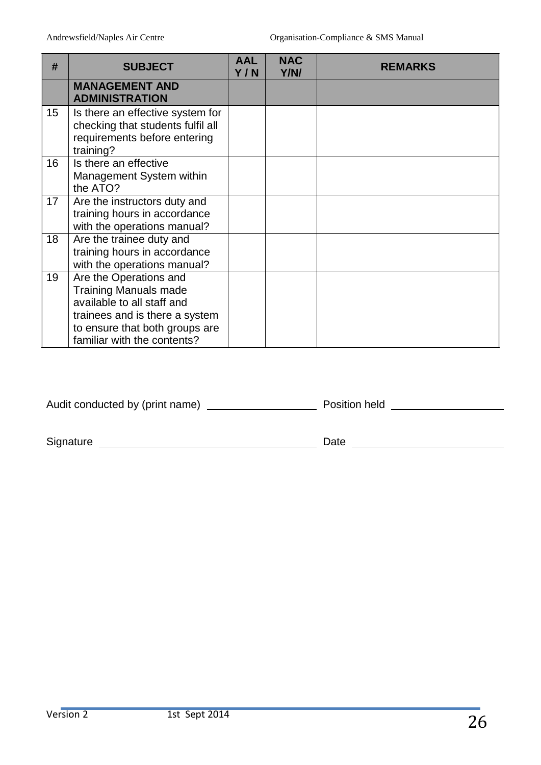| #                | <b>SUBJECT</b>                                                                                                                                                                          | <b>AAL</b><br>Y/N | <b>NAC</b><br>Y/N/ | <b>REMARKS</b> |
|------------------|-----------------------------------------------------------------------------------------------------------------------------------------------------------------------------------------|-------------------|--------------------|----------------|
|                  | <b>MANAGEMENT AND</b><br><b>ADMINISTRATION</b>                                                                                                                                          |                   |                    |                |
| 15 <sub>15</sub> | Is there an effective system for<br>checking that students fulfil all<br>requirements before entering<br>training?                                                                      |                   |                    |                |
| 16               | Is there an effective<br>Management System within<br>the ATO?                                                                                                                           |                   |                    |                |
| 17               | Are the instructors duty and<br>training hours in accordance<br>with the operations manual?                                                                                             |                   |                    |                |
| 18               | Are the trainee duty and<br>training hours in accordance<br>with the operations manual?                                                                                                 |                   |                    |                |
| 19               | Are the Operations and<br><b>Training Manuals made</b><br>available to all staff and<br>trainees and is there a system<br>to ensure that both groups are<br>familiar with the contents? |                   |                    |                |

| Audit conducted by (print name) | Position held |  |
|---------------------------------|---------------|--|
|                                 |               |  |

Signature Date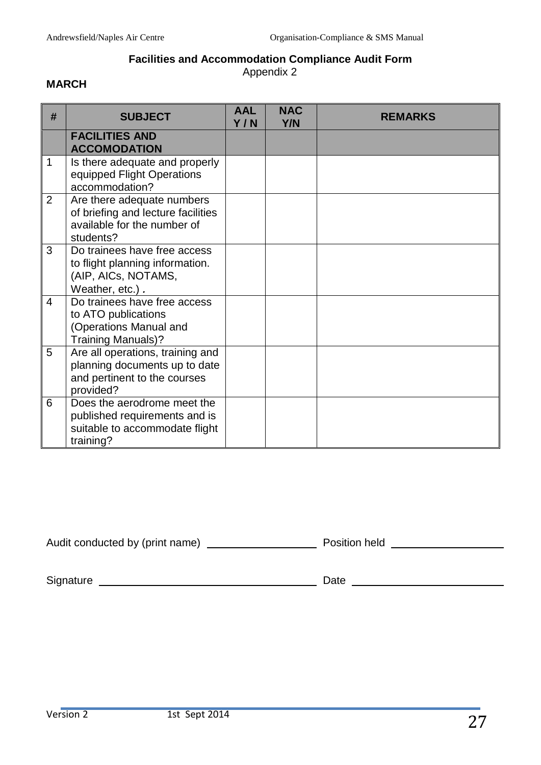# **Facilities and Accommodation Compliance Audit Form**

Appendix 2

#### **MARCH**

| # | <b>SUBJECT</b>                                                                                                 | <b>AAL</b><br>Y/N | <b>NAC</b><br><b>Y/N</b> | <b>REMARKS</b> |
|---|----------------------------------------------------------------------------------------------------------------|-------------------|--------------------------|----------------|
|   | <b>FACILITIES AND</b><br><b>ACCOMODATION</b>                                                                   |                   |                          |                |
| 1 | Is there adequate and properly<br>equipped Flight Operations<br>accommodation?                                 |                   |                          |                |
| 2 | Are there adequate numbers<br>of briefing and lecture facilities<br>available for the number of<br>students?   |                   |                          |                |
| 3 | Do trainees have free access<br>to flight planning information.<br>(AIP, AICs, NOTAMS,<br>Weather, etc.).      |                   |                          |                |
| 4 | Do trainees have free access<br>to ATO publications<br>(Operations Manual and<br><b>Training Manuals)?</b>     |                   |                          |                |
| 5 | Are all operations, training and<br>planning documents up to date<br>and pertinent to the courses<br>provided? |                   |                          |                |
| 6 | Does the aerodrome meet the<br>published requirements and is<br>suitable to accommodate flight<br>training?    |                   |                          |                |

Audit conducted by (print name) Position held

Signature Date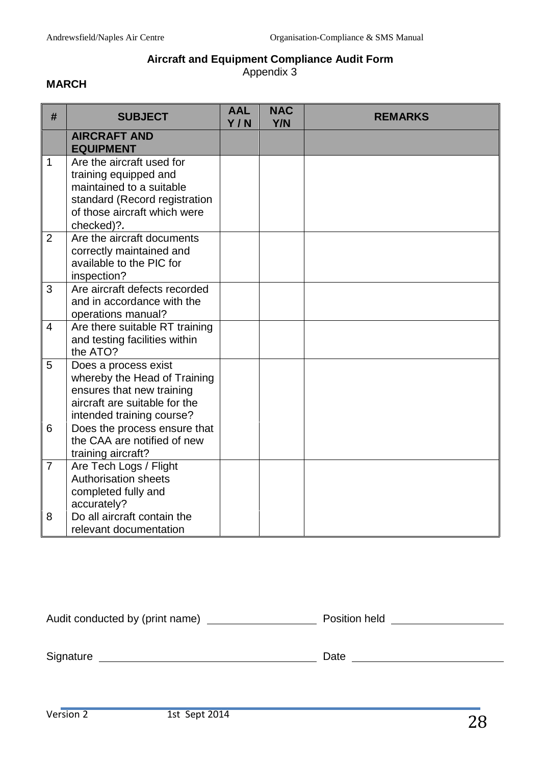# **Aircraft and Equipment Compliance Audit Form**

Appendix 3

#### **MARCH**

| #              | <b>SUBJECT</b>                                                                                                                                                | <b>AAL</b><br>Y/N | <b>NAC</b><br><b>Y/N</b> | <b>REMARKS</b> |
|----------------|---------------------------------------------------------------------------------------------------------------------------------------------------------------|-------------------|--------------------------|----------------|
|                | <b>AIRCRAFT AND</b><br><b>EQUIPMENT</b>                                                                                                                       |                   |                          |                |
| $\mathbf{1}$   | Are the aircraft used for<br>training equipped and<br>maintained to a suitable<br>standard (Record registration<br>of those aircraft which were<br>checked)?. |                   |                          |                |
| 2              | Are the aircraft documents<br>correctly maintained and<br>available to the PIC for<br>inspection?                                                             |                   |                          |                |
| 3              | Are aircraft defects recorded<br>and in accordance with the<br>operations manual?                                                                             |                   |                          |                |
| $\overline{4}$ | Are there suitable RT training<br>and testing facilities within<br>the ATO?                                                                                   |                   |                          |                |
| 5              | Does a process exist<br>whereby the Head of Training<br>ensures that new training<br>aircraft are suitable for the<br>intended training course?               |                   |                          |                |
| 6              | Does the process ensure that<br>the CAA are notified of new<br>training aircraft?                                                                             |                   |                          |                |
| $\overline{7}$ | Are Tech Logs / Flight<br>Authorisation sheets<br>completed fully and<br>accurately?                                                                          |                   |                          |                |
| 8              | Do all aircraft contain the<br>relevant documentation                                                                                                         |                   |                          |                |

| Audit conducted by (print name) | Position held |
|---------------------------------|---------------|
|                                 |               |
| Signature                       | Date          |
|                                 |               |
|                                 |               |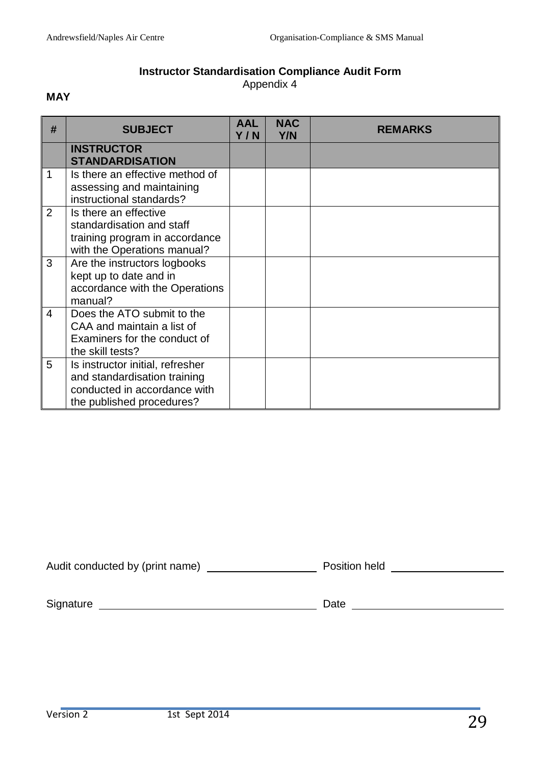#### **Instructor Standardisation Compliance Audit Form** Appendix 4

#### **MAY**

| #              | <b>SUBJECT</b>                                                                                                                | <b>AAL</b><br>Y/N | <b>NAC</b><br>Y/N | <b>REMARKS</b> |
|----------------|-------------------------------------------------------------------------------------------------------------------------------|-------------------|-------------------|----------------|
|                | <b>INSTRUCTOR</b><br><b>STANDARDISATION</b>                                                                                   |                   |                   |                |
| 1              | Is there an effective method of<br>assessing and maintaining<br>instructional standards?                                      |                   |                   |                |
| 2              | Is there an effective<br>standardisation and staff<br>training program in accordance<br>with the Operations manual?           |                   |                   |                |
| 3              | Are the instructors logbooks<br>kept up to date and in<br>accordance with the Operations<br>manual?                           |                   |                   |                |
| $\overline{4}$ | Does the ATO submit to the<br>CAA and maintain a list of<br>Examiners for the conduct of<br>the skill tests?                  |                   |                   |                |
| 5              | Is instructor initial, refresher<br>and standardisation training<br>conducted in accordance with<br>the published procedures? |                   |                   |                |

| Audit conducted by (print name) | <b>Position held</b> |  |
|---------------------------------|----------------------|--|
|                                 |                      |  |

Signature Date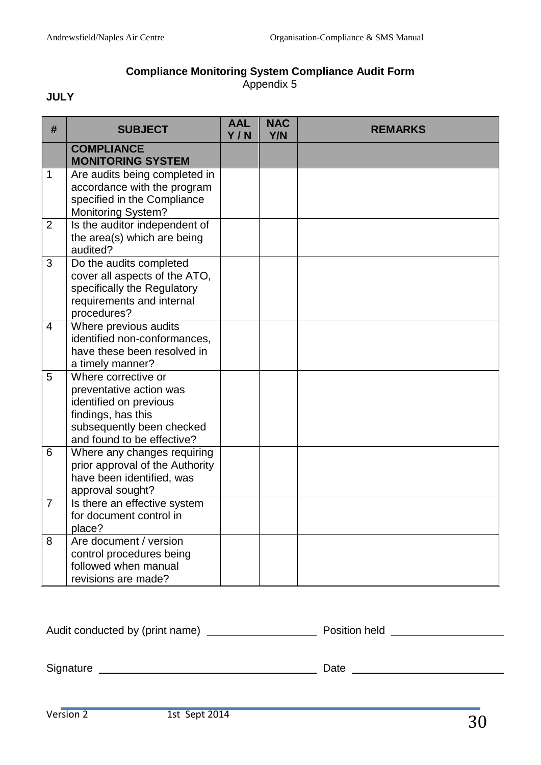#### **Compliance Monitoring System Compliance Audit Form** Appendix 5

# **JULY**

| #              | <b>SUBJECT</b>                                                                                                                                            | <b>AAL</b><br>Y/N | <b>NAC</b><br>Y/N | <b>REMARKS</b> |
|----------------|-----------------------------------------------------------------------------------------------------------------------------------------------------------|-------------------|-------------------|----------------|
|                | <b>COMPLIANCE</b><br><b>MONITORING SYSTEM</b>                                                                                                             |                   |                   |                |
| $\mathbf{1}$   | Are audits being completed in<br>accordance with the program<br>specified in the Compliance<br><b>Monitoring System?</b>                                  |                   |                   |                |
| $\overline{2}$ | Is the auditor independent of<br>the area(s) which are being<br>audited?                                                                                  |                   |                   |                |
| 3              | Do the audits completed<br>cover all aspects of the ATO,<br>specifically the Regulatory<br>requirements and internal<br>procedures?                       |                   |                   |                |
| $\overline{4}$ | Where previous audits<br>identified non-conformances,<br>have these been resolved in<br>a timely manner?                                                  |                   |                   |                |
| 5              | Where corrective or<br>preventative action was<br>identified on previous<br>findings, has this<br>subsequently been checked<br>and found to be effective? |                   |                   |                |
| 6              | Where any changes requiring<br>prior approval of the Authority<br>have been identified, was<br>approval sought?                                           |                   |                   |                |
| $\overline{7}$ | Is there an effective system<br>for document control in<br>place?                                                                                         |                   |                   |                |
| 8              | Are document / version<br>control procedures being<br>followed when manual<br>revisions are made?                                                         |                   |                   |                |

| Audit conducted by (print name) | Position held |
|---------------------------------|---------------|
|                                 |               |
|                                 |               |
| Signature                       | Date          |
|                                 |               |
|                                 |               |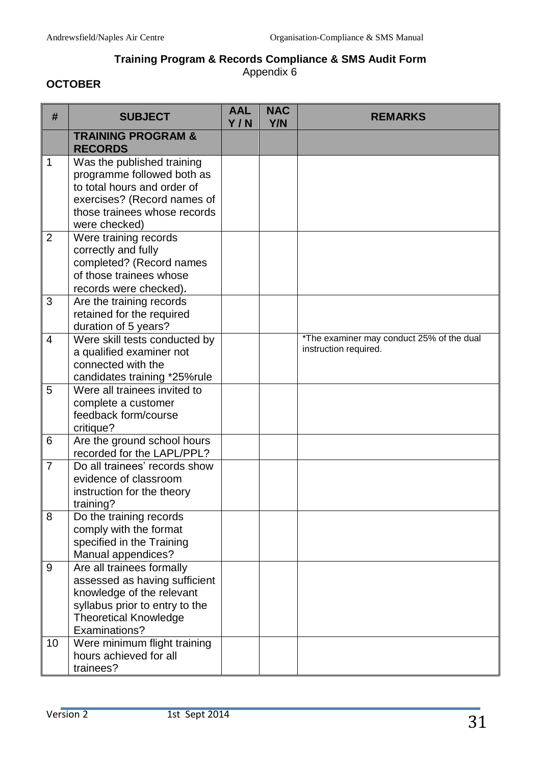# **Training Program & Records Compliance & SMS Audit Form**

Appendix 6

# **OCTOBER**

| #              | <b>SUBJECT</b>                                                                                                                                                             | <b>AAL</b><br>Y/N | <b>NAC</b><br>Y/N | <b>REMARKS</b>                                                     |
|----------------|----------------------------------------------------------------------------------------------------------------------------------------------------------------------------|-------------------|-------------------|--------------------------------------------------------------------|
|                | <b>TRAINING PROGRAM &amp;</b><br><b>RECORDS</b>                                                                                                                            |                   |                   |                                                                    |
| $\mathbf{1}$   | Was the published training<br>programme followed both as<br>to total hours and order of<br>exercises? (Record names of<br>those trainees whose records<br>were checked)    |                   |                   |                                                                    |
| $\overline{2}$ | Were training records<br>correctly and fully<br>completed? (Record names<br>of those trainees whose<br>records were checked).                                              |                   |                   |                                                                    |
| 3              | Are the training records<br>retained for the required<br>duration of 5 years?                                                                                              |                   |                   |                                                                    |
| $\overline{4}$ | Were skill tests conducted by<br>a qualified examiner not<br>connected with the<br>candidates training *25%rule                                                            |                   |                   | *The examiner may conduct 25% of the dual<br>instruction required. |
| 5              | Were all trainees invited to<br>complete a customer<br>feedback form/course<br>critique?                                                                                   |                   |                   |                                                                    |
| 6              | Are the ground school hours<br>recorded for the LAPL/PPL?                                                                                                                  |                   |                   |                                                                    |
| $\overline{7}$ | Do all trainees' records show<br>evidence of classroom<br>instruction for the theory<br>training?                                                                          |                   |                   |                                                                    |
| 8              | Do the training records<br>comply with the format<br>specified in the Training<br>Manual appendices?                                                                       |                   |                   |                                                                    |
| 9              | Are all trainees formally<br>assessed as having sufficient<br>knowledge of the relevant<br>syllabus prior to entry to the<br><b>Theoretical Knowledge</b><br>Examinations? |                   |                   |                                                                    |
| 10             | Were minimum flight training<br>hours achieved for all<br>trainees?                                                                                                        |                   |                   |                                                                    |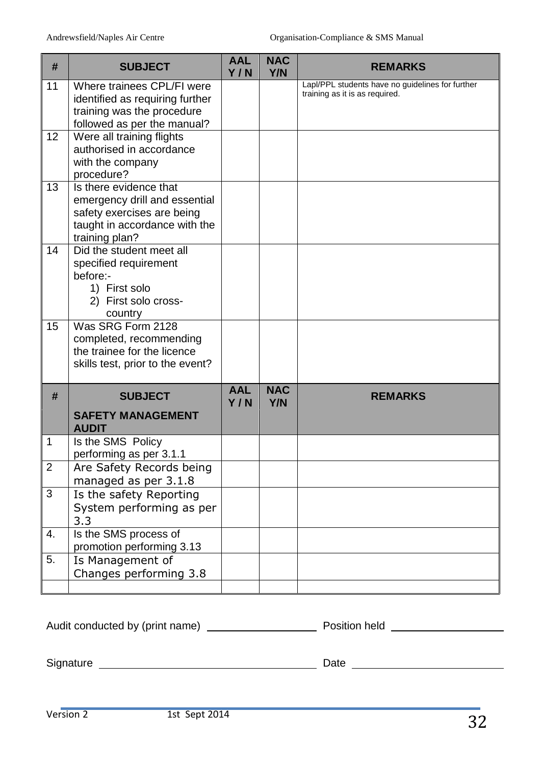| #              | <b>SUBJECT</b>                                                                                                                           | <b>AAL</b><br>Y/N | <b>NAC</b><br>Y/N        | <b>REMARKS</b>                                                                     |
|----------------|------------------------------------------------------------------------------------------------------------------------------------------|-------------------|--------------------------|------------------------------------------------------------------------------------|
| 11             | Where trainees CPL/FI were<br>identified as requiring further<br>training was the procedure<br>followed as per the manual?               |                   |                          | Lapl/PPL students have no guidelines for further<br>training as it is as required. |
| 12             | Were all training flights<br>authorised in accordance<br>with the company<br>procedure?                                                  |                   |                          |                                                                                    |
| 13             | Is there evidence that<br>emergency drill and essential<br>safety exercises are being<br>taught in accordance with the<br>training plan? |                   |                          |                                                                                    |
| 14             | Did the student meet all<br>specified requirement<br>before:-<br>1) First solo<br>2) First solo cross-<br>country                        |                   |                          |                                                                                    |
| 15             | Was SRG Form 2128<br>completed, recommending<br>the trainee for the licence<br>skills test, prior to the event?                          |                   |                          |                                                                                    |
| #              | <b>SUBJECT</b>                                                                                                                           | <b>AAL</b><br>Y/N | <b>NAC</b><br><b>Y/N</b> | <b>REMARKS</b>                                                                     |
|                | <b>SAFETY MANAGEMENT</b><br><b>AUDIT</b>                                                                                                 |                   |                          |                                                                                    |
| 1              | Is the SMS Policy<br>performing as per 3.1.1                                                                                             |                   |                          |                                                                                    |
| $\overline{2}$ | Are Safety Records being<br>managed as per 3.1.8                                                                                         |                   |                          |                                                                                    |
| 3              | Is the safety Reporting<br>System performing as per<br>3.3                                                                               |                   |                          |                                                                                    |
| 4.             | Is the SMS process of<br>promotion performing 3.13                                                                                       |                   |                          |                                                                                    |
| 5.             | Is Management of<br>Changes performing 3.8                                                                                               |                   |                          |                                                                                    |

| Audit conducted by (print name) |      | Position held |
|---------------------------------|------|---------------|
|                                 |      |               |
| Signature                       | Date |               |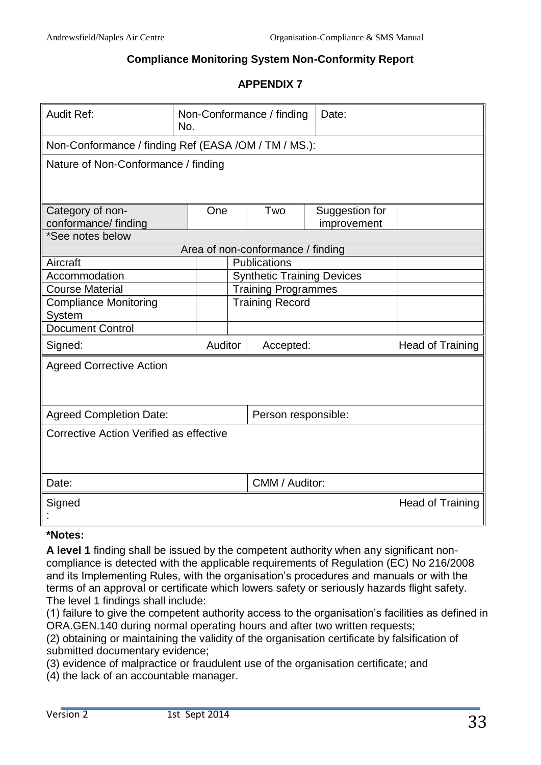#### **Compliance Monitoring System Non-Conformity Report**

#### **APPENDIX 7**

| <b>Audit Ref:</b>                                     | Non-Conformance / finding<br>No. |                        |                                   | Date:                             |                         |
|-------------------------------------------------------|----------------------------------|------------------------|-----------------------------------|-----------------------------------|-------------------------|
| Non-Conformance / finding Ref (EASA /OM / TM / MS.):  |                                  |                        |                                   |                                   |                         |
| Nature of Non-Conformance / finding                   |                                  |                        |                                   |                                   |                         |
| Category of non-<br>conformance/ finding              |                                  | One                    | Two                               | Suggestion for<br>improvement     |                         |
| *See notes below                                      |                                  |                        |                                   |                                   |                         |
|                                                       |                                  |                        | Area of non-conformance / finding |                                   |                         |
| Aircraft                                              |                                  |                        | Publications                      |                                   |                         |
| Accommodation                                         |                                  |                        |                                   | <b>Synthetic Training Devices</b> |                         |
| <b>Course Material</b>                                |                                  |                        | <b>Training Programmes</b>        |                                   |                         |
| <b>Compliance Monitoring</b><br>System                |                                  | <b>Training Record</b> |                                   |                                   |                         |
| <b>Document Control</b>                               |                                  |                        |                                   |                                   |                         |
| Signed:                                               |                                  | Auditor                | Accepted:                         |                                   | <b>Head of Training</b> |
| <b>Agreed Corrective Action</b>                       |                                  |                        |                                   |                                   |                         |
| <b>Agreed Completion Date:</b><br>Person responsible: |                                  |                        |                                   |                                   |                         |
| Corrective Action Verified as effective               |                                  |                        |                                   |                                   |                         |
| Date:                                                 |                                  |                        | CMM / Auditor:                    |                                   |                         |
| Signed                                                |                                  |                        |                                   |                                   | <b>Head of Training</b> |

#### **\*Notes:**

**A level 1** finding shall be issued by the competent authority when any significant noncompliance is detected with the applicable requirements of Regulation (EC) No 216/2008 and its Implementing Rules, with the organisation's procedures and manuals or with the terms of an approval or certificate which lowers safety or seriously hazards flight safety. The level 1 findings shall include:

(1) failure to give the competent authority access to the organisation's facilities as defined in ORA.GEN.140 during normal operating hours and after two written requests;

(2) obtaining or maintaining the validity of the organisation certificate by falsification of submitted documentary evidence;

(3) evidence of malpractice or fraudulent use of the organisation certificate; and

(4) the lack of an accountable manager.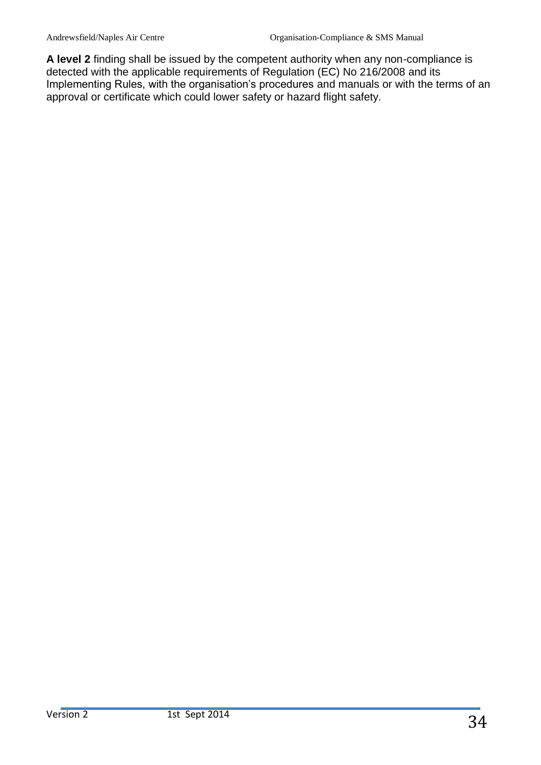**A level 2** finding shall be issued by the competent authority when any non-compliance is detected with the applicable requirements of Regulation (EC) No 216/2008 and its Implementing Rules, with the organisation's procedures and manuals or with the terms of an approval or certificate which could lower safety or hazard flight safety.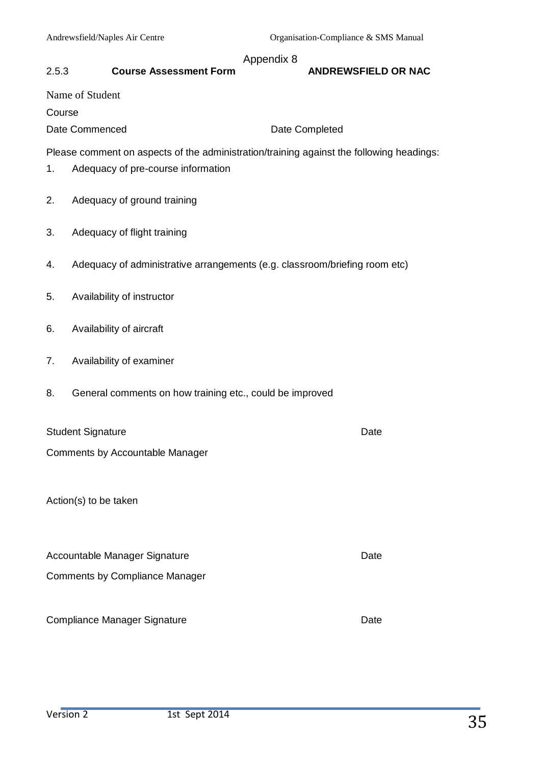#### Appendix 8

#### 2.5.3 **Course Assessment Form ANDREWSFIELD OR NAC**

#### Name of Student

Course

Date Commenced Date Completed

Please comment on aspects of the administration/training against the following headings:

- 1. Adequacy of pre-course information
- 2. Adequacy of ground training
- 3. Adequacy of flight training
- 4. Adequacy of administrative arrangements (e.g. classroom/briefing room etc)
- 5. Availability of instructor
- 6. Availability of aircraft
- 7. Availability of examiner
- 8. General comments on how training etc., could be improved

| <b>Student Signature</b>        | Date |
|---------------------------------|------|
| Comments by Accountable Manager |      |

Action(s) to be taken

| Accountable Manager Signature         | Date |
|---------------------------------------|------|
| <b>Comments by Compliance Manager</b> |      |
|                                       |      |

Compliance Manager Signature **Date** Date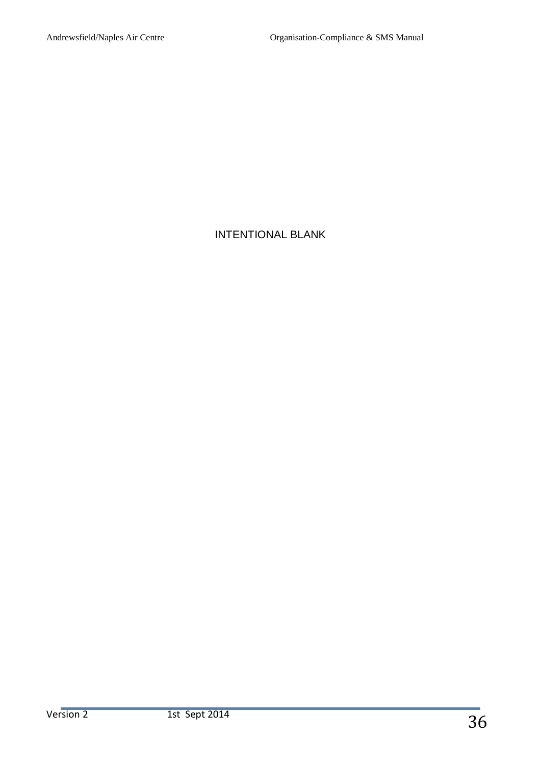# INTENTIONAL BLANK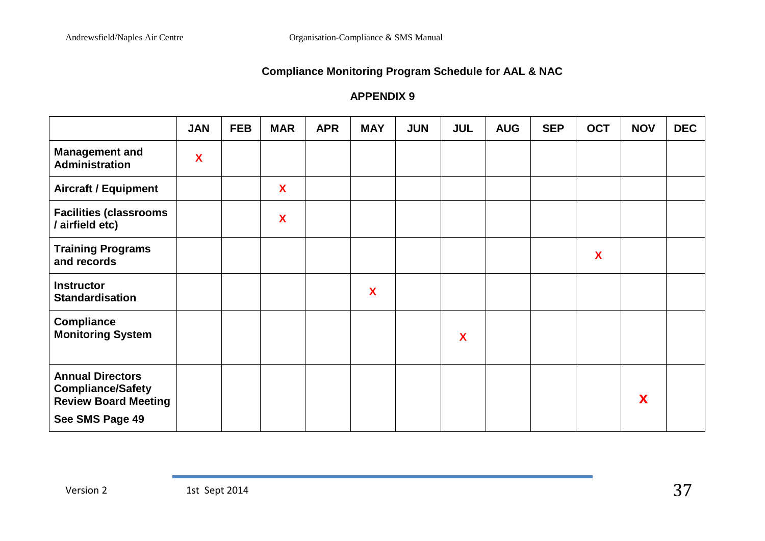# **Compliance Monitoring Program Schedule for AAL & NAC**

# **APPENDIX 9**

|                                                                                                       | <b>JAN</b> | <b>FEB</b> | <b>MAR</b> | <b>APR</b> | <b>MAY</b> | <b>JUN</b> | <b>JUL</b> | <b>AUG</b> | <b>SEP</b> | <b>OCT</b> | <b>NOV</b> | <b>DEC</b> |
|-------------------------------------------------------------------------------------------------------|------------|------------|------------|------------|------------|------------|------------|------------|------------|------------|------------|------------|
| <b>Management and</b><br><b>Administration</b>                                                        | X          |            |            |            |            |            |            |            |            |            |            |            |
| <b>Aircraft / Equipment</b>                                                                           |            |            | X          |            |            |            |            |            |            |            |            |            |
| <b>Facilities (classrooms</b><br>airfield etc)                                                        |            |            | X          |            |            |            |            |            |            |            |            |            |
| <b>Training Programs</b><br>and records                                                               |            |            |            |            |            |            |            |            |            | X          |            |            |
| <b>Instructor</b><br><b>Standardisation</b>                                                           |            |            |            |            | X          |            |            |            |            |            |            |            |
| <b>Compliance</b><br><b>Monitoring System</b>                                                         |            |            |            |            |            |            | X          |            |            |            |            |            |
| <b>Annual Directors</b><br><b>Compliance/Safety</b><br><b>Review Board Meeting</b><br>See SMS Page 49 |            |            |            |            |            |            |            |            |            |            | X          |            |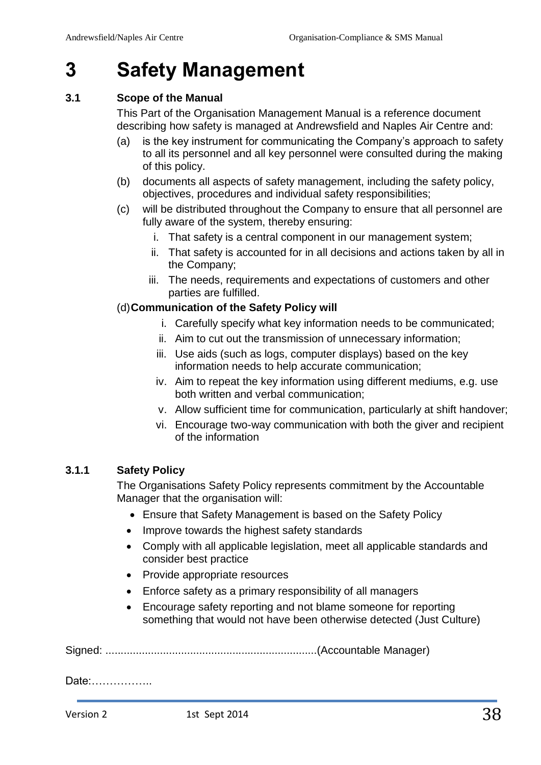# **3 Safety Management**

#### <span id="page-37-0"></span>**3.1 Scope of the Manual**

This Part of the Organisation Management Manual is a reference document describing how safety is managed at Andrewsfield and Naples Air Centre and:

- (a) is the key instrument for communicating the Company's approach to safety to all its personnel and all key personnel were consulted during the making of this policy.
- (b) documents all aspects of safety management, including the safety policy, objectives, procedures and individual safety responsibilities;
- (c) will be distributed throughout the Company to ensure that all personnel are fully aware of the system, thereby ensuring:
	- i. That safety is a central component in our management system;
	- ii. That safety is accounted for in all decisions and actions taken by all in the Company;
	- iii. The needs, requirements and expectations of customers and other parties are fulfilled.

#### (d)**Communication of the Safety Policy will**

- i. Carefully specify what key information needs to be communicated;
- ii. Aim to cut out the transmission of unnecessary information;
- iii. Use aids (such as logs, computer displays) based on the key information needs to help accurate communication;
- iv. Aim to repeat the key information using different mediums, e.g. use both written and verbal communication;
- v. Allow sufficient time for communication, particularly at shift handover;
- vi. Encourage two-way communication with both the giver and recipient of the information

#### <span id="page-37-1"></span>**3.1.1 Safety Policy**

The Organisations Safety Policy represents commitment by the Accountable Manager that the organisation will:

- Ensure that Safety Management is based on the Safety Policy
- Improve towards the highest safety standards
- Comply with all applicable legislation, meet all applicable standards and consider best practice
- Provide appropriate resources
- Enforce safety as a primary responsibility of all managers
- Encourage safety reporting and not blame someone for reporting something that would not have been otherwise detected (Just Culture)

Signed: ......................................................................(Accountable Manager)

Date:……………..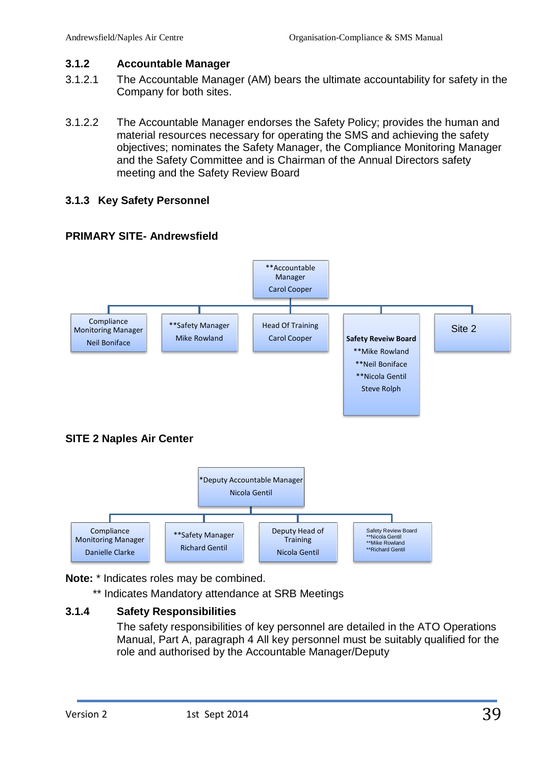#### <span id="page-38-0"></span>**3.1.2 Accountable Manager**

- 3.1.2.1 The Accountable Manager (AM) bears the ultimate accountability for safety in the Company for both sites.
- 3.1.2.2 The Accountable Manager endorses the Safety Policy; provides the human and material resources necessary for operating the SMS and achieving the safety objectives; nominates the Safety Manager, the Compliance Monitoring Manager and the Safety Committee and is Chairman of the Annual Directors safety meeting and the Safety Review Board

#### <span id="page-38-1"></span>**3.1.3 Key Safety Personnel**





# **SITE 2 Naples Air Center**



**Note:** \* Indicates roles may be combined.

\*\* Indicates Mandatory attendance at SRB Meetings

# **3.1.4 Safety Responsibilities**

<span id="page-38-2"></span>The safety responsibilities of key personnel are detailed in the ATO Operations Manual, Part A, paragraph 4 All key personnel must be suitably qualified for the role and authorised by the Accountable Manager/Deputy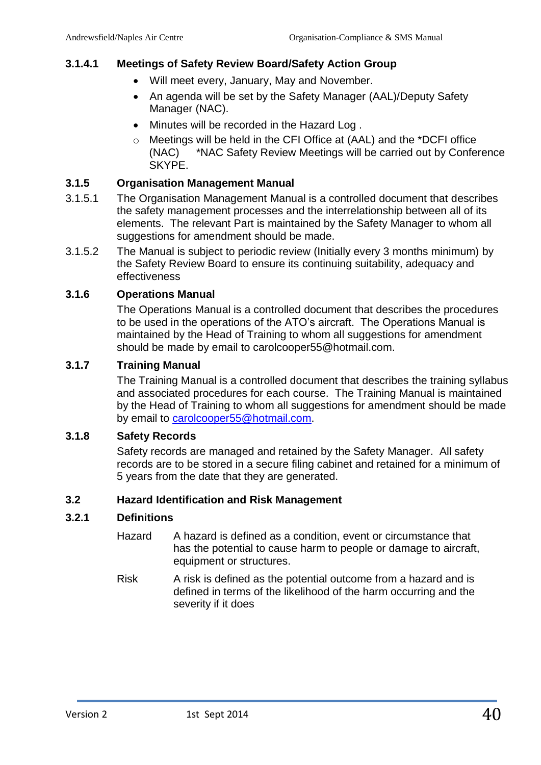#### **3.1.4.1 Meetings of Safety Review Board/Safety Action Group**

- Will meet every, January, May and November.
- An agenda will be set by the Safety Manager (AAL)/Deputy Safety Manager (NAC).
- Minutes will be recorded in the Hazard Log.
- o Meetings will be held in the CFI Office at (AAL) and the \*DCFI office (NAC) \*NAC Safety Review Meetings will be carried out by Conference SKYPE.

#### <span id="page-39-0"></span>**3.1.5 Organisation Management Manual**

- 3.1.5.1 The Organisation Management Manual is a controlled document that describes the safety management processes and the interrelationship between all of its elements. The relevant Part is maintained by the Safety Manager to whom all suggestions for amendment should be made.
- 3.1.5.2 The Manual is subject to periodic review (Initially every 3 months minimum) by the Safety Review Board to ensure its continuing suitability, adequacy and effectiveness

#### <span id="page-39-1"></span>**3.1.6 Operations Manual**

The Operations Manual is a controlled document that describes the procedures to be used in the operations of the ATO's aircraft. The Operations Manual is maintained by the Head of Training to whom all suggestions for amendment should be made by email to carolcooper55@hotmail.com.

#### <span id="page-39-2"></span>**3.1.7 Training Manual**

The Training Manual is a controlled document that describes the training syllabus and associated procedures for each course. The Training Manual is maintained by the Head of Training to whom all suggestions for amendment should be made by email to [carolcooper55@hotmail.com.](mailto:carolcooper55@hotmail.com)

#### <span id="page-39-3"></span>**3.1.8 Safety Records**

Safety records are managed and retained by the Safety Manager. All safety records are to be stored in a secure filing cabinet and retained for a minimum of 5 years from the date that they are generated.

#### <span id="page-39-4"></span>**3.2 Hazard Identification and Risk Management**

#### <span id="page-39-5"></span>**3.2.1 Definitions**

- Hazard A hazard is defined as a condition, event or circumstance that has the potential to cause harm to people or damage to aircraft, equipment or structures.
- Risk A risk is defined as the potential outcome from a hazard and is defined in terms of the likelihood of the harm occurring and the severity if it does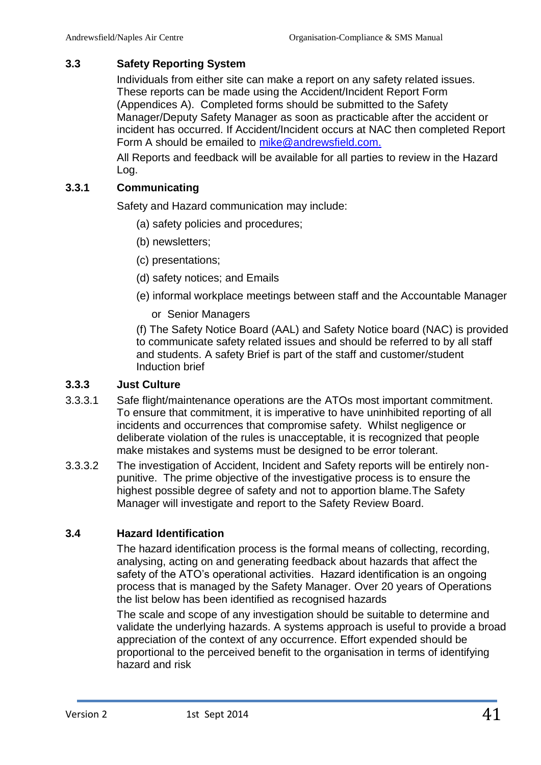#### <span id="page-40-0"></span>**3.3 Safety Reporting System**

Individuals from either site can make a report on any safety related issues. These reports can be made using the Accident/Incident Report Form (Appendices A). Completed forms should be submitted to the Safety Manager/Deputy Safety Manager as soon as practicable after the accident or incident has occurred. If Accident/Incident occurs at NAC then completed Report Form A should be emailed to [mike@andrewsfield.com.](mailto:mike@andrewsfield.com)

All Reports and feedback will be available for all parties to review in the Hazard Log.

#### <span id="page-40-1"></span>**3.3.1 Communicating**

Safety and Hazard communication may include:

- (a) safety policies and procedures;
- (b) newsletters;
- (c) presentations;
- (d) safety notices; and Emails
- (e) informal workplace meetings between staff and the Accountable Manager
	- or Senior Managers

(f) The Safety Notice Board (AAL) and Safety Notice board (NAC) is provided to communicate safety related issues and should be referred to by all staff and students. A safety Brief is part of the staff and customer/student Induction brief

#### <span id="page-40-2"></span>**3.3.3 Just Culture**

- 3.3.3.1 Safe flight/maintenance operations are the ATOs most important commitment. To ensure that commitment, it is imperative to have uninhibited reporting of all incidents and occurrences that compromise safety. Whilst negligence or deliberate violation of the rules is unacceptable, it is recognized that people make mistakes and systems must be designed to be error tolerant.
- 3.3.3.2 The investigation of Accident, Incident and Safety reports will be entirely nonpunitive. The prime objective of the investigative process is to ensure the highest possible degree of safety and not to apportion blame.The Safety Manager will investigate and report to the Safety Review Board.

#### **3.4 Hazard Identification**

<span id="page-40-3"></span>The hazard identification process is the formal means of collecting, recording, analysing, acting on and generating feedback about hazards that affect the safety of the ATO's operational activities. Hazard identification is an ongoing process that is managed by the Safety Manager. Over 20 years of Operations the list below has been identified as recognised hazards

The scale and scope of any investigation should be suitable to determine and validate the underlying hazards. A systems approach is useful to provide a broad appreciation of the context of any occurrence. Effort expended should be proportional to the perceived benefit to the organisation in terms of identifying hazard and risk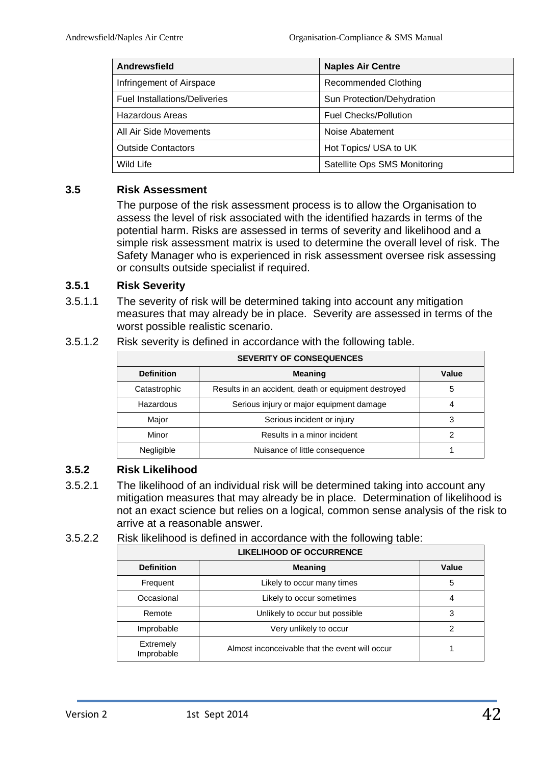| <b>Andrewsfield</b>                  | <b>Naples Air Centre</b>     |
|--------------------------------------|------------------------------|
| Infringement of Airspace             | <b>Recommended Clothing</b>  |
| <b>Fuel Installations/Deliveries</b> | Sun Protection/Dehydration   |
| <b>Hazardous Areas</b>               | <b>Fuel Checks/Pollution</b> |
| All Air Side Movements               | Noise Abatement              |
| <b>Outside Contactors</b>            | Hot Topics/ USA to UK        |
| Wild Life                            | Satellite Ops SMS Monitoring |

#### <span id="page-41-0"></span>**3.5 Risk Assessment**

The purpose of the risk assessment process is to allow the Organisation to assess the level of risk associated with the identified hazards in terms of the potential harm. Risks are assessed in terms of severity and likelihood and a simple risk assessment matrix is used to determine the overall level of risk. The Safety Manager who is experienced in risk assessment oversee risk assessing or consults outside specialist if required.

#### <span id="page-41-1"></span>**3.5.1 Risk Severity**

3.5.1.1 The severity of risk will be determined taking into account any mitigation measures that may already be in place. Severity are assessed in terms of the worst possible realistic scenario.

|  | 3.5.1.2 | Risk severity is defined in accordance with the following table. |
|--|---------|------------------------------------------------------------------|
|--|---------|------------------------------------------------------------------|

| <b>SEVERITY OF CONSEQUENCES</b> |                                                      |       |  |  |
|---------------------------------|------------------------------------------------------|-------|--|--|
| <b>Definition</b>               | <b>Meaning</b>                                       | Value |  |  |
| Catastrophic                    | Results in an accident, death or equipment destroyed | 5     |  |  |
| Hazardous                       | Serious injury or major equipment damage             | 4     |  |  |
| Major                           | Serious incident or injury                           | 3     |  |  |
| Minor                           | Results in a minor incident                          | 2     |  |  |
| Negligible                      | Nuisance of little consequence                       |       |  |  |

#### <span id="page-41-2"></span>**3.5.2 Risk Likelihood**

3.5.2.1 The likelihood of an individual risk will be determined taking into account any mitigation measures that may already be in place. Determination of likelihood is not an exact science but relies on a logical, common sense analysis of the risk to arrive at a reasonable answer.

#### 3.5.2.2 Risk likelihood is defined in accordance with the following table:

| <b>LIKELIHOOD OF OCCURRENCE</b> |                                                |       |  |  |
|---------------------------------|------------------------------------------------|-------|--|--|
| <b>Definition</b>               | <b>Meaning</b>                                 | Value |  |  |
| Frequent                        | Likely to occur many times                     | 5     |  |  |
| Occasional                      | Likely to occur sometimes                      | 4     |  |  |
| Remote                          | Unlikely to occur but possible                 | 3     |  |  |
| Improbable                      | Very unlikely to occur                         | 2     |  |  |
| Extremely<br>Improbable         | Almost inconceivable that the event will occur |       |  |  |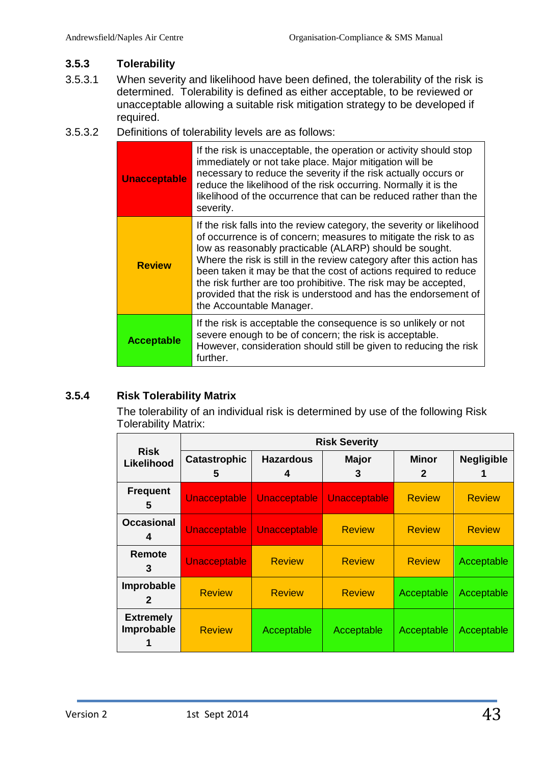#### <span id="page-42-0"></span>**3.5.3 Tolerability**

- 3.5.3.1 When severity and likelihood have been defined, the tolerability of the risk is determined. Tolerability is defined as either acceptable, to be reviewed or unacceptable allowing a suitable risk mitigation strategy to be developed if required.
- 3.5.3.2 Definitions of tolerability levels are as follows:

| <b>Unacceptable</b> | If the risk is unacceptable, the operation or activity should stop<br>immediately or not take place. Major mitigation will be<br>necessary to reduce the severity if the risk actually occurs or<br>reduce the likelihood of the risk occurring. Normally it is the<br>likelihood of the occurrence that can be reduced rather than the<br>severity.                                                                                                                                                                |
|---------------------|---------------------------------------------------------------------------------------------------------------------------------------------------------------------------------------------------------------------------------------------------------------------------------------------------------------------------------------------------------------------------------------------------------------------------------------------------------------------------------------------------------------------|
| <b>Review</b>       | If the risk falls into the review category, the severity or likelihood<br>of occurrence is of concern; measures to mitigate the risk to as<br>low as reasonably practicable (ALARP) should be sought.<br>Where the risk is still in the review category after this action has<br>been taken it may be that the cost of actions required to reduce<br>the risk further are too prohibitive. The risk may be accepted,<br>provided that the risk is understood and has the endorsement of<br>the Accountable Manager. |
| <b>Acceptable</b>   | If the risk is acceptable the consequence is so unlikely or not<br>severe enough to be of concern; the risk is acceptable.<br>However, consideration should still be given to reducing the risk<br>further.                                                                                                                                                                                                                                                                                                         |

# <span id="page-42-1"></span>**3.5.4 Risk Tolerability Matrix**

The tolerability of an individual risk is determined by use of the following Risk Tolerability Matrix:

|                                       |                          | <b>Risk Severity</b>  |                   |               |                   |  |
|---------------------------------------|--------------------------|-----------------------|-------------------|---------------|-------------------|--|
| <b>Risk</b><br>Likelihood             | <b>Catastrophic</b><br>5 | <b>Hazardous</b><br>4 | <b>Major</b><br>З | Minor<br>2    | <b>Negligible</b> |  |
| <b>Frequent</b><br>5                  | <b>Unacceptable</b>      | <b>Unacceptable</b>   | Unacceptable      | <b>Review</b> | <b>Review</b>     |  |
| <b>Occasional</b><br>4                | Unacceptable             | <b>Unacceptable</b>   | <b>Review</b>     | <b>Review</b> | <b>Review</b>     |  |
| Remote<br>3                           | <b>Unacceptable</b>      | <b>Review</b>         | <b>Review</b>     | <b>Review</b> | Acceptable        |  |
| Improbable<br>$\mathbf{2}$            | <b>Review</b>            | <b>Review</b>         | <b>Review</b>     | Acceptable    | Acceptable        |  |
| <b>Extremely</b><br><b>Improbable</b> | <b>Review</b>            | Acceptable            | Acceptable        | Acceptable    | Acceptable        |  |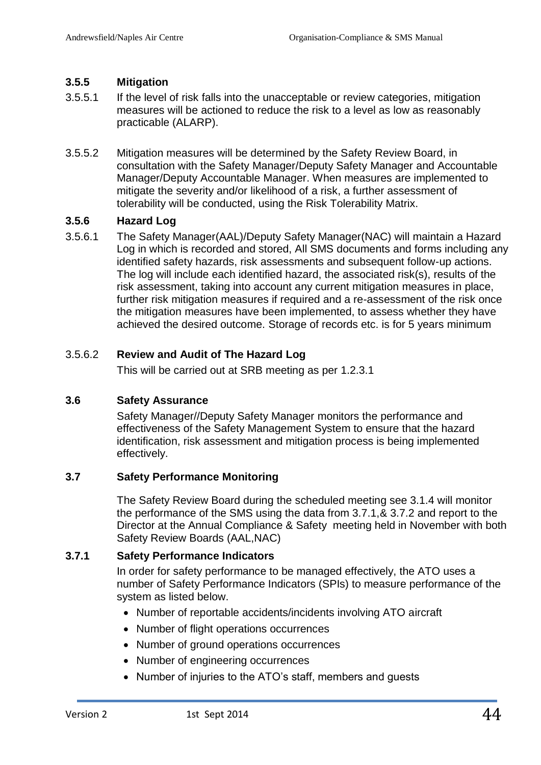#### <span id="page-43-0"></span>**3.5.5 Mitigation**

- 3.5.5.1 If the level of risk falls into the unacceptable or review categories, mitigation measures will be actioned to reduce the risk to a level as low as reasonably practicable (ALARP).
- 3.5.5.2 Mitigation measures will be determined by the Safety Review Board, in consultation with the Safety Manager/Deputy Safety Manager and Accountable Manager/Deputy Accountable Manager. When measures are implemented to mitigate the severity and/or likelihood of a risk, a further assessment of tolerability will be conducted, using the Risk Tolerability Matrix.

# <span id="page-43-1"></span>**3.5.6 Hazard Log**

3.5.6.1 The Safety Manager(AAL)/Deputy Safety Manager(NAC) will maintain a Hazard Log in which is recorded and stored, All SMS documents and forms including any identified safety hazards, risk assessments and subsequent follow-up actions. The log will include each identified hazard, the associated risk(s), results of the risk assessment, taking into account any current mitigation measures in place, further risk mitigation measures if required and a re-assessment of the risk once the mitigation measures have been implemented, to assess whether they have achieved the desired outcome. Storage of records etc. is for 5 years minimum

# 3.5.6.2 **Review and Audit of The Hazard Log**

<span id="page-43-2"></span>This will be carried out at SRB meeting as per 1.2.3.1

#### **3.6 Safety Assurance**

Safety Manager//Deputy Safety Manager monitors the performance and effectiveness of the Safety Management System to ensure that the hazard identification, risk assessment and mitigation process is being implemented effectively.

#### <span id="page-43-3"></span>**3.7 Safety Performance Monitoring**

The Safety Review Board during the scheduled meeting see 3.1.4 will monitor the performance of the SMS using the data from 3.7.1,& 3.7.2 and report to the Director at the Annual Compliance & Safety meeting held in November with both Safety Review Boards (AAL,NAC)

#### <span id="page-43-4"></span>**3.7.1 Safety Performance Indicators**

In order for safety performance to be managed effectively, the ATO uses a number of Safety Performance Indicators (SPIs) to measure performance of the system as listed below.

- Number of reportable accidents/incidents involving ATO aircraft
- Number of flight operations occurrences
- Number of ground operations occurrences
- Number of engineering occurrences
- Number of injuries to the ATO's staff, members and guests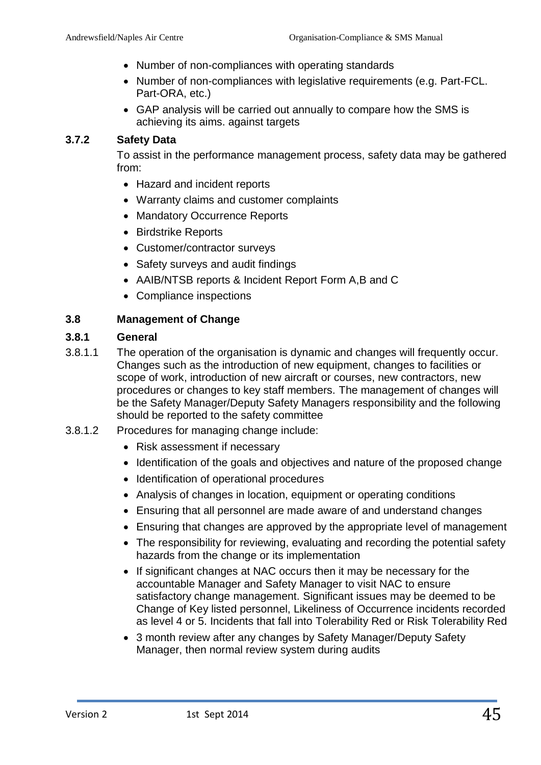- Number of non-compliances with operating standards
- Number of non-compliances with legislative requirements (e.g. Part-FCL. Part-ORA, etc.)
- GAP analysis will be carried out annually to compare how the SMS is achieving its aims. against targets

#### <span id="page-44-0"></span>**3.7.2 Safety Data**

To assist in the performance management process, safety data may be gathered from:

- Hazard and incident reports
- Warranty claims and customer complaints
- Mandatory Occurrence Reports
- Birdstrike Reports
- Customer/contractor surveys
- Safety surveys and audit findings
- AAIB/NTSB reports & Incident Report Form A,B and C
- Compliance inspections

#### <span id="page-44-1"></span>**3.8 Management of Change**

#### <span id="page-44-2"></span>**3.8.1 General**

- 3.8.1.1 The operation of the organisation is dynamic and changes will frequently occur. Changes such as the introduction of new equipment, changes to facilities or scope of work, introduction of new aircraft or courses, new contractors, new procedures or changes to key staff members. The management of changes will be the Safety Manager/Deputy Safety Managers responsibility and the following should be reported to the safety committee
- 3.8.1.2 Procedures for managing change include:
	- Risk assessment if necessary
	- Identification of the goals and objectives and nature of the proposed change
	- Identification of operational procedures
	- Analysis of changes in location, equipment or operating conditions
	- Ensuring that all personnel are made aware of and understand changes
	- Ensuring that changes are approved by the appropriate level of management
	- The responsibility for reviewing, evaluating and recording the potential safety hazards from the change or its implementation
	- If significant changes at NAC occurs then it may be necessary for the accountable Manager and Safety Manager to visit NAC to ensure satisfactory change management. Significant issues may be deemed to be Change of Key listed personnel, Likeliness of Occurrence incidents recorded as level 4 or 5. Incidents that fall into Tolerability Red or Risk Tolerability Red
	- 3 month review after any changes by Safety Manager/Deputy Safety Manager, then normal review system during audits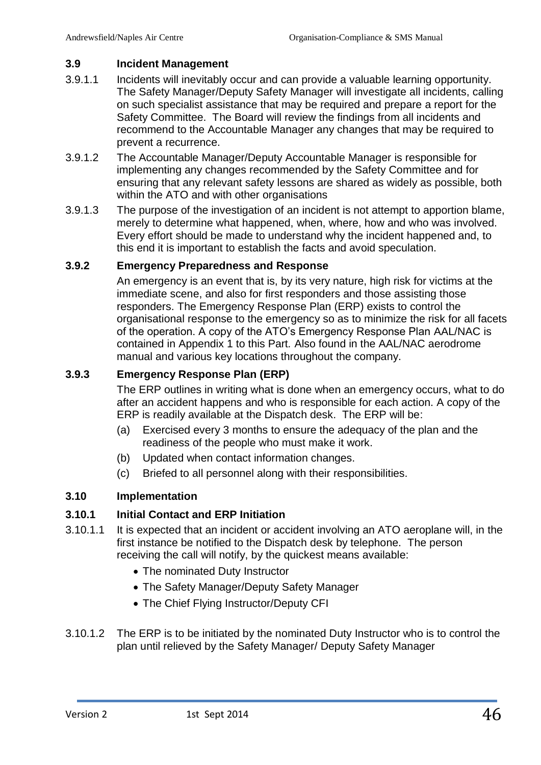#### <span id="page-45-0"></span>**3.9 Incident Management**

- 3.9.1.1 Incidents will inevitably occur and can provide a valuable learning opportunity. The Safety Manager/Deputy Safety Manager will investigate all incidents, calling on such specialist assistance that may be required and prepare a report for the Safety Committee. The Board will review the findings from all incidents and recommend to the Accountable Manager any changes that may be required to prevent a recurrence.
- 3.9.1.2 The Accountable Manager/Deputy Accountable Manager is responsible for implementing any changes recommended by the Safety Committee and for ensuring that any relevant safety lessons are shared as widely as possible, both within the ATO and with other organisations
- 3.9.1.3 The purpose of the investigation of an incident is not attempt to apportion blame, merely to determine what happened, when, where, how and who was involved. Every effort should be made to understand why the incident happened and, to this end it is important to establish the facts and avoid speculation.

# <span id="page-45-1"></span>**3.9.2 Emergency Preparedness and Response**

An emergency is an event that is, by its very nature, high risk for victims at the immediate scene, and also for first responders and those assisting those responders. The Emergency Response Plan (ERP) exists to control the organisational response to the emergency so as to minimize the risk for all facets of the operation. A copy of the ATO's Emergency Response Plan AAL/NAC is contained in Appendix 1 to this Part*.* Also found in the AAL/NAC aerodrome manual and various key locations throughout the company.

# <span id="page-45-2"></span>**3.9.3 Emergency Response Plan (ERP)**

The ERP outlines in writing what is done when an emergency occurs, what to do after an accident happens and who is responsible for each action. A copy of the ERP is readily available at the Dispatch desk. The ERP will be:

- (a) Exercised every 3 months to ensure the adequacy of the plan and the readiness of the people who must make it work.
- (b) Updated when contact information changes.
- (c) Briefed to all personnel along with their responsibilities.

#### <span id="page-45-3"></span>**3.10 Implementation**

#### <span id="page-45-4"></span>**3.10.1 Initial Contact and ERP Initiation**

- 3.10.1.1 It is expected that an incident or accident involving an ATO aeroplane will, in the first instance be notified to the Dispatch desk by telephone. The person receiving the call will notify, by the quickest means available:
	- The nominated Duty Instructor
	- The Safety Manager/Deputy Safety Manager
	- The Chief Flying Instructor/Deputy CFI
- 3.10.1.2 The ERP is to be initiated by the nominated Duty Instructor who is to control the plan until relieved by the Safety Manager/ Deputy Safety Manager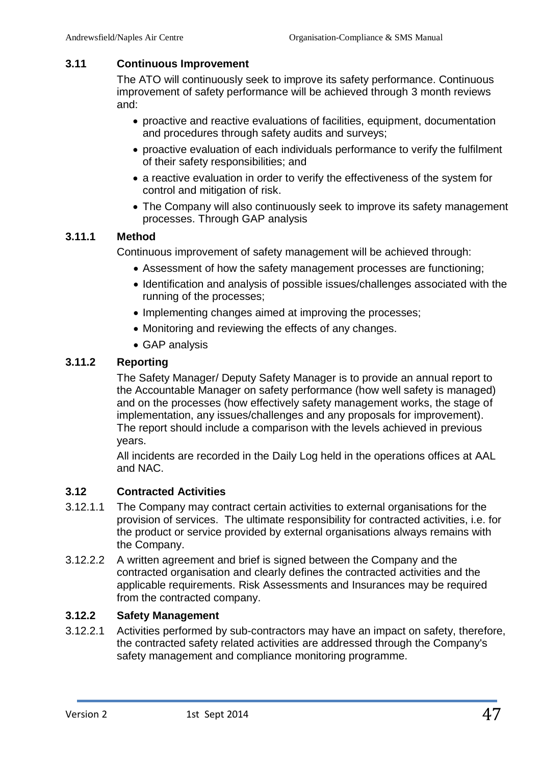#### <span id="page-46-0"></span>**3.11 Continuous Improvement**

The ATO will continuously seek to improve its safety performance. Continuous improvement of safety performance will be achieved through 3 month reviews and:

- proactive and reactive evaluations of facilities, equipment, documentation and procedures through safety audits and surveys;
- proactive evaluation of each individuals performance to verify the fulfilment of their safety responsibilities; and
- a reactive evaluation in order to verify the effectiveness of the system for control and mitigation of risk.
- The Company will also continuously seek to improve its safety management processes. Through GAP analysis

#### <span id="page-46-1"></span>**3.11.1 Method**

Continuous improvement of safety management will be achieved through:

- Assessment of how the safety management processes are functioning;
- Identification and analysis of possible issues/challenges associated with the running of the processes;
- Implementing changes aimed at improving the processes;
- Monitoring and reviewing the effects of any changes.
- GAP analysis

#### <span id="page-46-2"></span>**3.11.2 Reporting**

The Safety Manager/ Deputy Safety Manager is to provide an annual report to the Accountable Manager on safety performance (how well safety is managed) and on the processes (how effectively safety management works, the stage of implementation, any issues/challenges and any proposals for improvement). The report should include a comparison with the levels achieved in previous years.

All incidents are recorded in the Daily Log held in the operations offices at AAL and NAC.

# <span id="page-46-3"></span>**3.12 Contracted Activities**

- 3.12.1.1 The Company may contract certain activities to external organisations for the provision of services. The ultimate responsibility for contracted activities, i.e. for the product or service provided by external organisations always remains with the Company.
- 3.12.2.2 A written agreement and brief is signed between the Company and the contracted organisation and clearly defines the contracted activities and the applicable requirements. Risk Assessments and Insurances may be required from the contracted company.

#### <span id="page-46-4"></span>**3.12.2 Safety Management**

3.12.2.1 Activities performed by sub-contractors may have an impact on safety, therefore, the contracted safety related activities are addressed through the Company's safety management and compliance monitoring programme.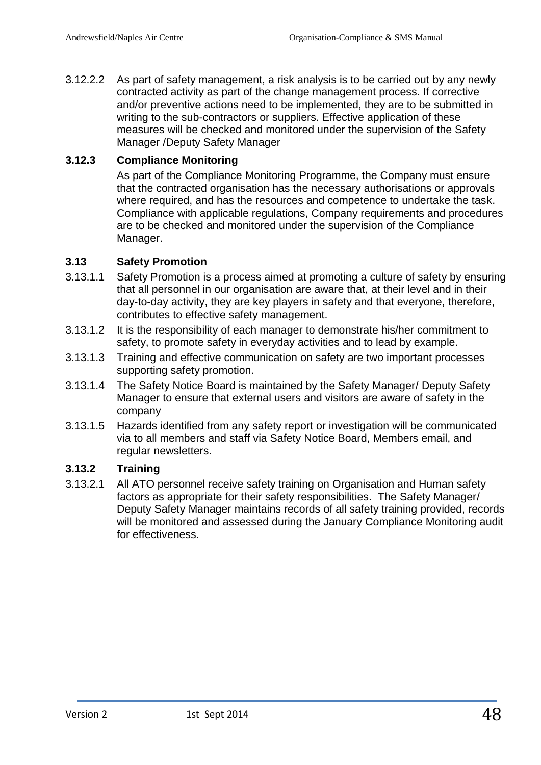3.12.2.2 As part of safety management, a risk analysis is to be carried out by any newly contracted activity as part of the change management process. If corrective and/or preventive actions need to be implemented, they are to be submitted in writing to the sub-contractors or suppliers. Effective application of these measures will be checked and monitored under the supervision of the Safety Manager /Deputy Safety Manager

#### <span id="page-47-0"></span>**3.12.3 Compliance Monitoring**

As part of the Compliance Monitoring Programme, the Company must ensure that the contracted organisation has the necessary authorisations or approvals where required, and has the resources and competence to undertake the task. Compliance with applicable regulations, Company requirements and procedures are to be checked and monitored under the supervision of the Compliance Manager.

#### <span id="page-47-1"></span>**3.13 Safety Promotion**

- 3.13.1.1 Safety Promotion is a process aimed at promoting a culture of safety by ensuring that all personnel in our organisation are aware that, at their level and in their day-to-day activity, they are key players in safety and that everyone, therefore, contributes to effective safety management.
- 3.13.1.2 It is the responsibility of each manager to demonstrate his/her commitment to safety, to promote safety in everyday activities and to lead by example.
- 3.13.1.3 Training and effective communication on safety are two important processes supporting safety promotion.
- 3.13.1.4 The Safety Notice Board is maintained by the Safety Manager/ Deputy Safety Manager to ensure that external users and visitors are aware of safety in the company
- 3.13.1.5 Hazards identified from any safety report or investigation will be communicated via to all members and staff via Safety Notice Board, Members email, and regular newsletters.

#### <span id="page-47-2"></span>**3.13.2 Training**

3.13.2.1 All ATO personnel receive safety training on Organisation and Human safety factors as appropriate for their safety responsibilities. The Safety Manager/ Deputy Safety Manager maintains records of all safety training provided, records will be monitored and assessed during the January Compliance Monitoring audit for effectiveness.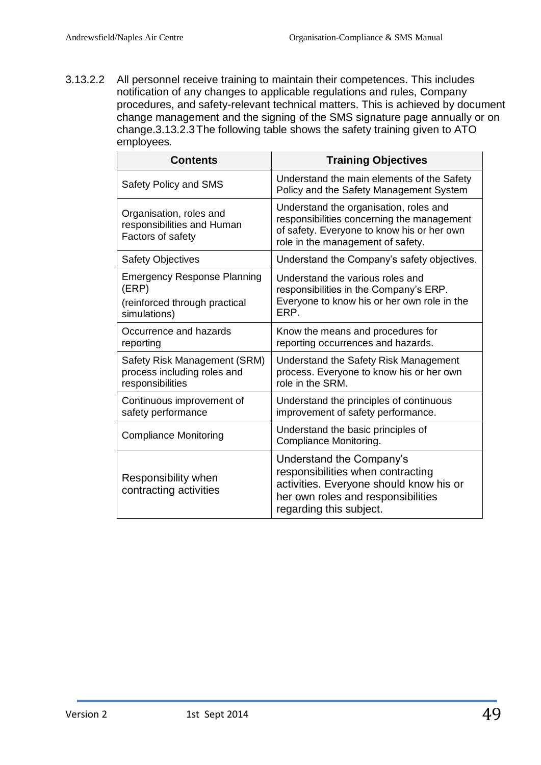3.13.2.2 All personnel receive training to maintain their competences. This includes notification of any changes to applicable regulations and rules, Company procedures, and safety-relevant technical matters. This is achieved by document change management and the signing of the SMS signature page annually or on change.3.13.2.3The following table shows the safety training given to ATO employees*.*

| <b>Contents</b>                                                                              | <b>Training Objectives</b>                                                                                                                                                |
|----------------------------------------------------------------------------------------------|---------------------------------------------------------------------------------------------------------------------------------------------------------------------------|
| Safety Policy and SMS                                                                        | Understand the main elements of the Safety<br>Policy and the Safety Management System                                                                                     |
| Organisation, roles and<br>responsibilities and Human<br>Factors of safety                   | Understand the organisation, roles and<br>responsibilities concerning the management<br>of safety. Everyone to know his or her own<br>role in the management of safety.   |
| <b>Safety Objectives</b>                                                                     | Understand the Company's safety objectives.                                                                                                                               |
| <b>Emergency Response Planning</b><br>(ERP)<br>(reinforced through practical<br>simulations) | Understand the various roles and<br>responsibilities in the Company's ERP.<br>Everyone to know his or her own role in the<br>ERP.                                         |
| Occurrence and hazards<br>reporting                                                          | Know the means and procedures for<br>reporting occurrences and hazards.                                                                                                   |
| Safety Risk Management (SRM)<br>process including roles and<br>responsibilities              | Understand the Safety Risk Management<br>process. Everyone to know his or her own<br>role in the SRM.                                                                     |
| Continuous improvement of<br>safety performance                                              | Understand the principles of continuous<br>improvement of safety performance.                                                                                             |
| <b>Compliance Monitoring</b>                                                                 | Understand the basic principles of<br>Compliance Monitoring.                                                                                                              |
| Responsibility when<br>contracting activities                                                | Understand the Company's<br>responsibilities when contracting<br>activities. Everyone should know his or<br>her own roles and responsibilities<br>regarding this subject. |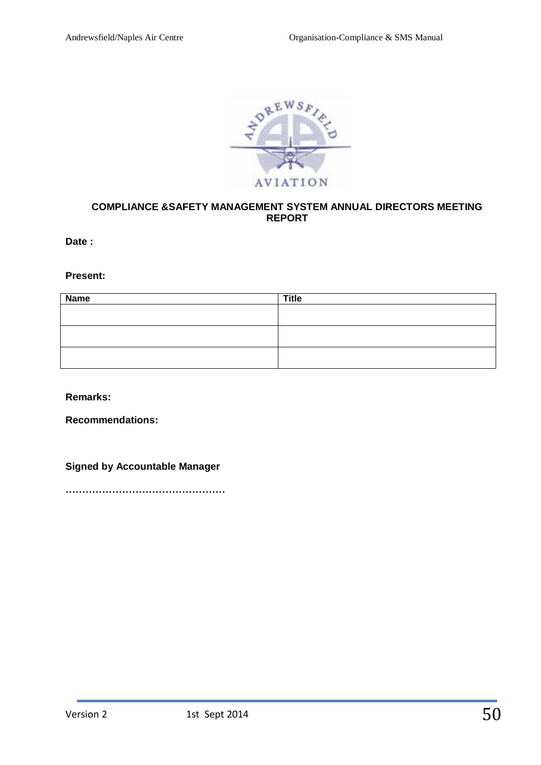

#### **COMPLIANCE &SAFETY MANAGEMENT SYSTEM ANNUAL DIRECTORS MEETING REPORT**

**Date :**

**Present:**

| <b>Name</b> | <b>Title</b> |
|-------------|--------------|
|             |              |
|             |              |
|             |              |
|             |              |
|             |              |
|             |              |

**Remarks:**

**Recommendations:**

**Signed by Accountable Manager**

**…………………………………………**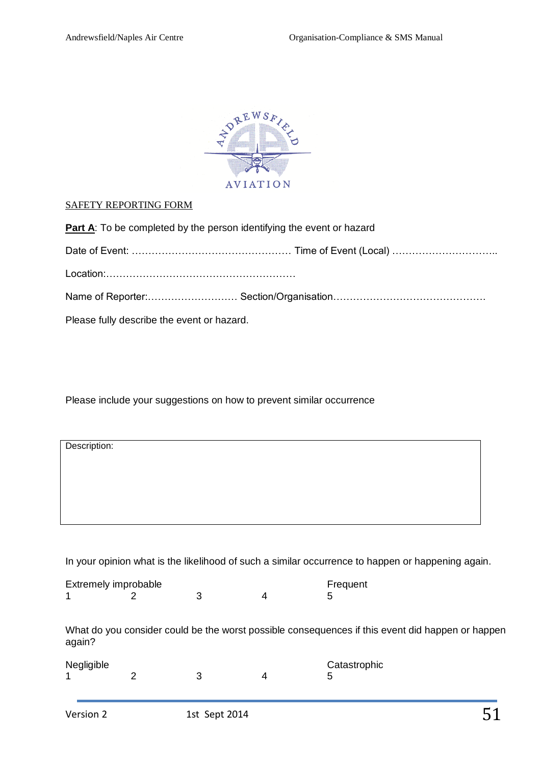

#### SAFETY REPORTING FORM

| <b>Part A:</b> To be completed by the person identifying the event or hazard |
|------------------------------------------------------------------------------|
|                                                                              |
|                                                                              |
|                                                                              |
| Please fully describe the event or hazard.                                   |

Please include your suggestions on how to prevent similar occurrence

| Description: |  |  |  |
|--------------|--|--|--|
|              |  |  |  |
|              |  |  |  |
|              |  |  |  |
|              |  |  |  |

In your opinion what is the likelihood of such a similar occurrence to happen or happening again.

| Extremely improbable |   |               |   | Frequent                                                                                         |
|----------------------|---|---------------|---|--------------------------------------------------------------------------------------------------|
|                      |   | 3             | 4 | 5                                                                                                |
|                      |   |               |   | What do you consider could be the worst possible consequences if this event did happen or happen |
| again?               |   |               |   |                                                                                                  |
| Negligible           |   |               |   | Catastrophic                                                                                     |
|                      | 2 | 3             | 4 | 5                                                                                                |
|                      |   |               |   |                                                                                                  |
| Version 2            |   | 1st Sept 2014 |   |                                                                                                  |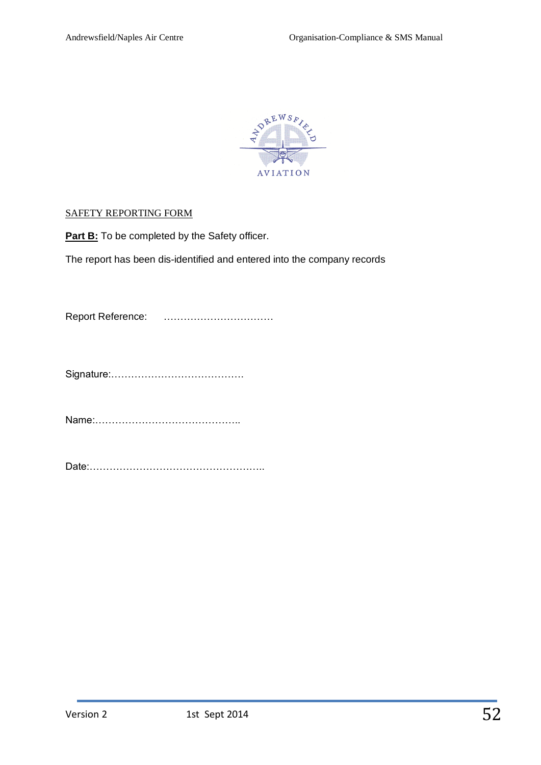

#### SAFETY REPORTING FORM

**Part B:** To be completed by the Safety officer.

The report has been dis-identified and entered into the company records

Report Reference: ……………………………

Signature:………………………………….

Name:……………………………………..

Date:……………………………………………..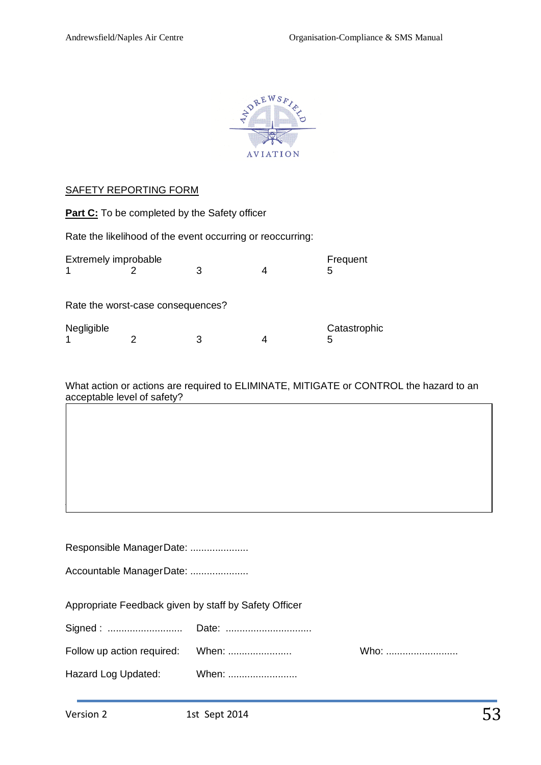

#### SAFETY REPORTING FORM

|                           | <b>Part C:</b> To be completed by the Safety officer |   |                                                            |                   |
|---------------------------|------------------------------------------------------|---|------------------------------------------------------------|-------------------|
|                           |                                                      |   | Rate the likelihood of the event occurring or reoccurring: |                   |
| Extremely improbable<br>1 |                                                      | 3 | 4                                                          | Frequent<br>5     |
|                           | Rate the worst-case consequences?                    |   |                                                            |                   |
| Negligible                |                                                      |   |                                                            | Catastrophic<br>5 |

What action or actions are required to ELIMINATE, MITIGATE or CONTROL the hazard to an acceptable level of safety?

| Responsible ManagerDate:                              |       |      |  |  |  |
|-------------------------------------------------------|-------|------|--|--|--|
| Accountable ManagerDate:                              |       |      |  |  |  |
|                                                       |       |      |  |  |  |
| Appropriate Feedback given by staff by Safety Officer |       |      |  |  |  |
|                                                       |       |      |  |  |  |
|                                                       |       | Who: |  |  |  |
| Hazard Log Updated:                                   | When: |      |  |  |  |

Resources required: ............................................................................. Responsibility for Action: .....................................................................  $A_{\rm{G}}$  and  $A_{\rm{G}}$  and  $A_{\rm{G}}$  and  $A_{\rm{G}}$  and  $A_{\rm{G}}$  and  $A_{\rm{G}}$  and  $A_{\rm{G}}$  and  $A_{\rm{G}}$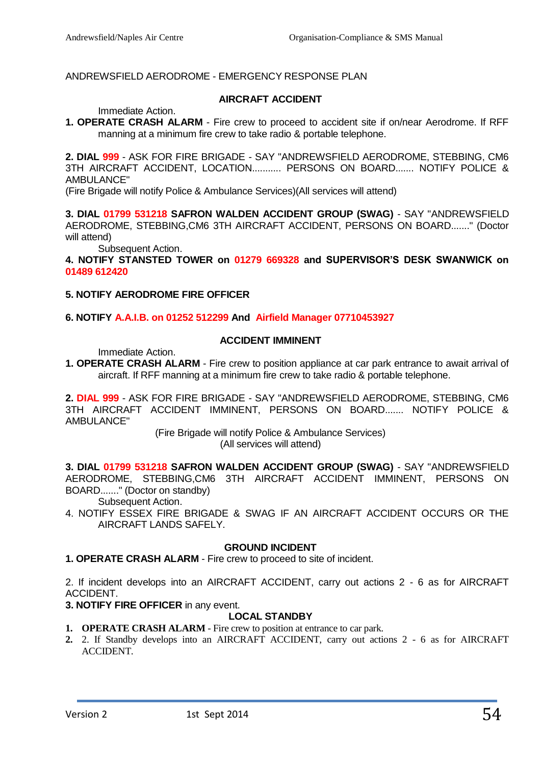#### ANDREWSFIELD AERODROME - EMERGENCY RESPONSE PLAN

#### **AIRCRAFT ACCIDENT**

Immediate Action.

**1. OPERATE CRASH ALARM** - Fire crew to proceed to accident site if on/near Aerodrome. If RFF manning at a minimum fire crew to take radio & portable telephone.

**2. DIAL 999** - ASK FOR FIRE BRIGADE - SAY "ANDREWSFIELD AERODROME, STEBBING, CM6 3TH AIRCRAFT ACCIDENT, LOCATION........... PERSONS ON BOARD....... NOTIFY POLICE & AMBULANCE"

(Fire Brigade will notify Police & Ambulance Services)(All services will attend)

**3. DIAL 01799 531218 SAFRON WALDEN ACCIDENT GROUP (SWAG)** - SAY "ANDREWSFIELD AERODROME, STEBBING,CM6 3TH AIRCRAFT ACCIDENT, PERSONS ON BOARD......." (Doctor will attend)

Subsequent Action.

**4. NOTIFY STANSTED TOWER on 01279 669328 and SUPERVISOR'S DESK SWANWICK on 01489 612420**

#### **5. NOTIFY AERODROME FIRE OFFICER**

#### **6. NOTIFY A.A.I.B. on 01252 512299 And Airfield Manager 07710453927**

# **ACCIDENT IMMINENT**

Immediate Action.

**1. OPERATE CRASH ALARM** - Fire crew to position appliance at car park entrance to await arrival of aircraft. If RFF manning at a minimum fire crew to take radio & portable telephone.

**2. DIAL 999** - ASK FOR FIRE BRIGADE - SAY "ANDREWSFIELD AERODROME, STEBBING, CM6 3TH AIRCRAFT ACCIDENT IMMINENT, PERSONS ON BOARD....... NOTIFY POLICE & AMBULANCE"

> (Fire Brigade will notify Police & Ambulance Services) (All services will attend)

**3. DIAL 01799 531218 SAFRON WALDEN ACCIDENT GROUP (SWAG)** - SAY "ANDREWSFIELD AERODROME, STEBBING,CM6 3TH AIRCRAFT ACCIDENT IMMINENT, PERSONS ON BOARD......." (Doctor on standby)

Subsequent Action.

4. NOTIFY ESSEX FIRE BRIGADE & SWAG IF AN AIRCRAFT ACCIDENT OCCURS OR THE AIRCRAFT LANDS SAFELY.

#### **GROUND INCIDENT**

**1. OPERATE CRASH ALARM** - Fire crew to proceed to site of incident.

2. If incident develops into an AIRCRAFT ACCIDENT, carry out actions 2 - 6 as for AIRCRAFT ACCIDENT.

#### **3. NOTIFY FIRE OFFICER** in any event.

#### **LOCAL STANDBY**

- **1. OPERATE CRASH ALARM** Fire crew to position at entrance to car park.
- **2.** 2. If Standby develops into an AIRCRAFT ACCIDENT, carry out actions 2 6 as for AIRCRAFT ACCIDENT.